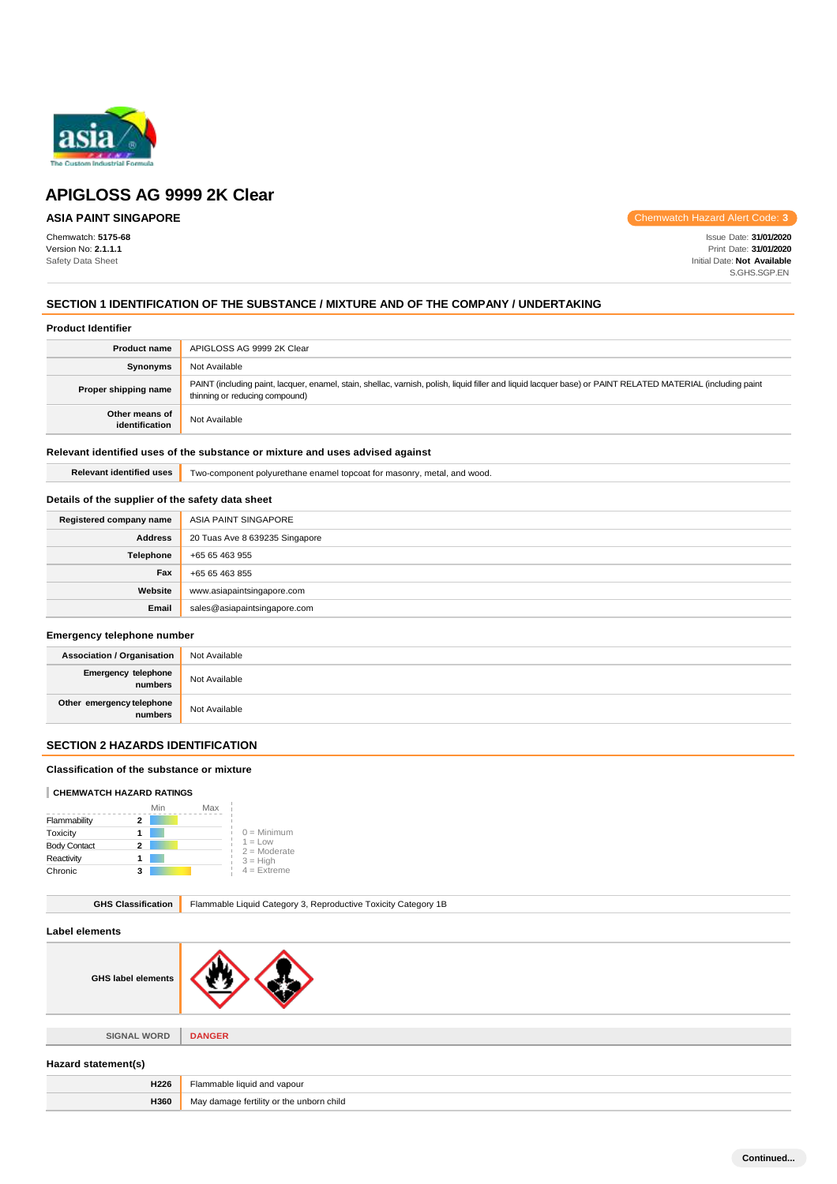

# **ASIA PAINT SINGAPORE**

Chemwatch: **5175-68** Version No: **2.1.1.1** Safety Data Sheet

Chemwatch Hazard Alert Code: **3**

Issue Date: **31/01/2020** Print Date: **31/01/2020** Initial Date: **Not Available** S.GHS.SGP.EN

# **SECTION 1 IDENTIFICATION OF THE SUBSTANCE / MIXTURE AND OF THE COMPANY / UNDERTAKING**

### **Product Identifier**

| <b>Product name</b>              | APIGLOSS AG 9999 2K Clear                                                                                                                                                                     |
|----------------------------------|-----------------------------------------------------------------------------------------------------------------------------------------------------------------------------------------------|
| Synonyms                         | Not Available                                                                                                                                                                                 |
| Proper shipping name             | PAINT (including paint, lacquer, enamel, stain, shellac, varnish, polish, liquid filler and liquid lacquer base) or PAINT RELATED MATERIAL (including paint<br>thinning or reducing compound) |
| Other means of<br>identification | Not Available                                                                                                                                                                                 |

### **Relevant identified uses of the substance or mixture and uses advised against**

**Relevant identified uses** Two-component polyurethane enamel topcoat for masonry, metal, and wood.

# **Details of the supplier of the safety data sheet**

| Registered company name | ASIA PAINT SINGAPORE           |
|-------------------------|--------------------------------|
| <b>Address</b>          | 20 Tuas Ave 8 639235 Singapore |
| Telephone               | +65 65 463 955                 |
| Fax                     | +65 65 463 855                 |
| Website                 | www.asiapaintsingapore.com     |
| Email                   | sales@asiapaintsingapore.com   |

#### **Emergency telephone number**

| <b>Association / Organisation</b>    | Not Available |
|--------------------------------------|---------------|
| Emergency telephone<br>numbers       | Not Available |
| Other emergency telephone<br>numbers | Not Available |

# **SECTION 2 HAZARDS IDENTIFICATION**

# **Classification of the substance or mixture**

### **CHEMWATCH HAZARD RATINGS**

|                     | Min | Max |                             |
|---------------------|-----|-----|-----------------------------|
| Flammability        | 2   |     |                             |
| Toxicity            |     |     | $0 =$ Minimum               |
| <b>Body Contact</b> | 2   |     | $1 = Low$<br>$2 =$ Moderate |
| Reactivity          |     |     | $3 = High$                  |
| Chronic             | з   |     | $4$ = Extreme               |

| <b>GHS Classification</b> | Flammable Liquid Category 3, Reproductive Toxicity Category 1B |  |  |
|---------------------------|----------------------------------------------------------------|--|--|
| Label elements            |                                                                |  |  |
| <b>GHS label elements</b> |                                                                |  |  |
|                           |                                                                |  |  |
| <b>SIGNAL WORD</b>        | <b>DANGER</b>                                                  |  |  |
| Hazard statement(s)       |                                                                |  |  |
| H226                      | Flammable liquid and vapour                                    |  |  |
| H360                      | May damage fertility or the unborn child                       |  |  |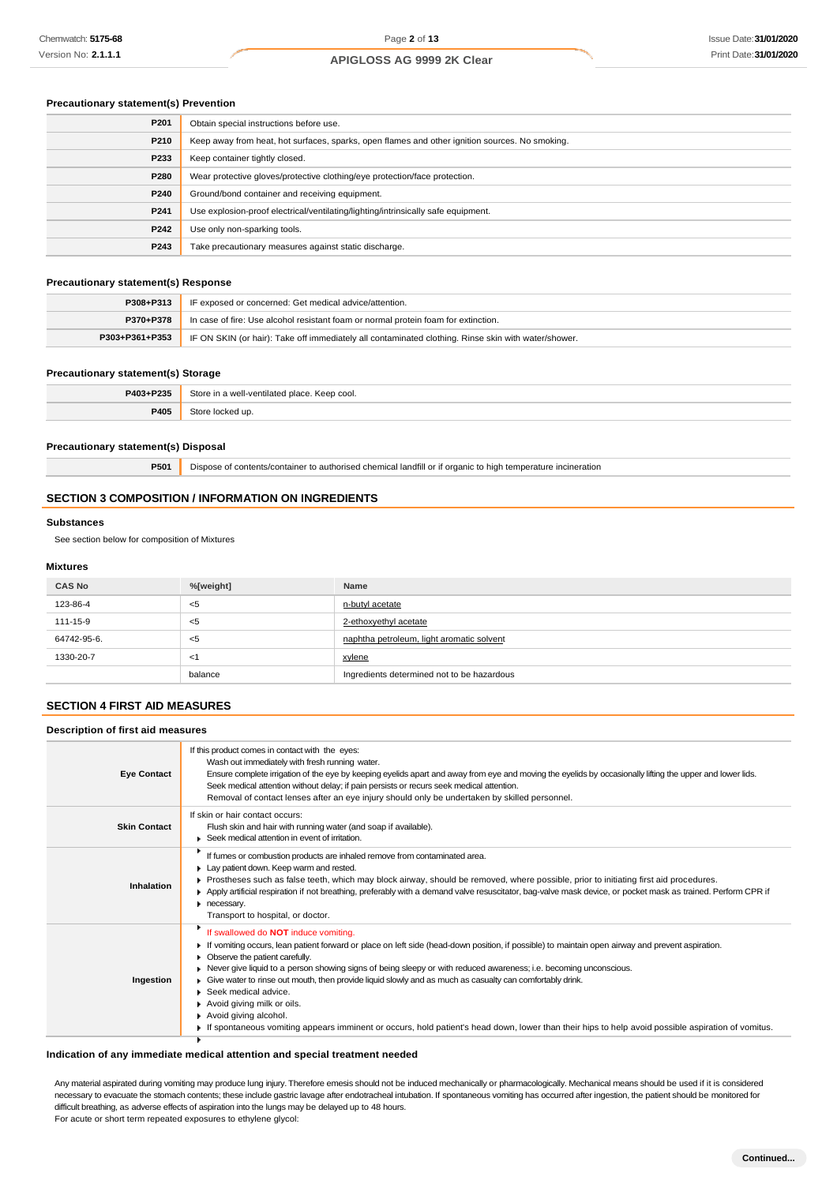### **Precautionary statement(s) Prevention**

| P201 | Obtain special instructions before use.                                                        |
|------|------------------------------------------------------------------------------------------------|
| P210 | Keep away from heat, hot surfaces, sparks, open flames and other ignition sources. No smoking. |
| P233 | Keep container tightly closed.                                                                 |
| P280 | Wear protective gloves/protective clothing/eye protection/face protection.                     |
| P240 | Ground/bond container and receiving equipment.                                                 |
| P241 | Use explosion-proof electrical/ventilating/lighting/intrinsically safe equipment.              |
| P242 | Use only non-sparking tools.                                                                   |
| P243 | Take precautionary measures against static discharge.                                          |

### **Precautionary statement(s) Response**

| P308+P313      | IF exposed or concerned: Get medical advice/attention.                                              |
|----------------|-----------------------------------------------------------------------------------------------------|
| P370+P378      | In case of fire: Use alcohol resistant foam or normal protein foam for extinction.                  |
| P303+P361+P353 | IF ON SKIN (or hair): Take off immediately all contaminated clothing. Rinse skin with water/shower. |

#### **Precautionary statement(s) Storage**

| P403+P235 | Store in a well-ventilated place. Keep cool. |
|-----------|----------------------------------------------|
| P405      | ، مەت<br>ked up.                             |

#### **Precautionary statement(s) Disposal**

**P501** Dispose of contents/container to authorised chemical landfill or if organic to high temperature incineration

### **SECTION 3 COMPOSITION / INFORMATION ON INGREDIENTS**

#### **Substances**

See section below for composition of Mixtures

#### **Mixtures**

| <b>CAS No</b> | %[weight] | Name                                       |
|---------------|-----------|--------------------------------------------|
| 123-86-4      | <5        | n-butyl acetate                            |
| 111-15-9      | <5        | 2-ethoxyethyl acetate                      |
| 64742-95-6.   | <5        | naphtha petroleum, light aromatic solvent  |
| 1330-20-7     | - < 1     | xylene                                     |
|               | balance   | Ingredients determined not to be hazardous |

# **SECTION 4 FIRST AID MEASURES**

# **Description of first aid measures**

| <b>Eye Contact</b>  | If this product comes in contact with the eyes:<br>Wash out immediately with fresh running water.<br>Ensure complete irrigation of the eye by keeping eyelids apart and away from eye and moving the eyelids by occasionally lifting the upper and lower lids.<br>Seek medical attention without delay; if pain persists or recurs seek medical attention.<br>Removal of contact lenses after an eye injury should only be undertaken by skilled personnel.                                                                                                                                                                                                                                                      |
|---------------------|------------------------------------------------------------------------------------------------------------------------------------------------------------------------------------------------------------------------------------------------------------------------------------------------------------------------------------------------------------------------------------------------------------------------------------------------------------------------------------------------------------------------------------------------------------------------------------------------------------------------------------------------------------------------------------------------------------------|
| <b>Skin Contact</b> | If skin or hair contact occurs:<br>Flush skin and hair with running water (and soap if available).<br>▶ Seek medical attention in event of irritation.                                                                                                                                                                                                                                                                                                                                                                                                                                                                                                                                                           |
| Inhalation          | If fumes or combustion products are inhaled remove from contaminated area.<br>Lay patient down. Keep warm and rested.<br>Prostheses such as false teeth, which may block airway, should be removed, where possible, prior to initiating first aid procedures.<br>▶ Apply artificial respiration if not breathing, preferably with a demand valve resuscitator, bag-valve mask device, or pocket mask as trained. Perform CPR if<br>necessary.<br>Transport to hospital, or doctor.                                                                                                                                                                                                                               |
| Ingestion           | If swallowed do NOT induce vomiting.<br>If vomiting occurs, lean patient forward or place on left side (head-down position, if possible) to maintain open airway and prevent aspiration.<br>Observe the patient carefully.<br>Never give liquid to a person showing signs of being sleepy or with reduced awareness; i.e. becoming unconscious.<br>Give water to rinse out mouth, then provide liquid slowly and as much as casualty can comfortably drink.<br>$\triangleright$ Seek medical advice.<br>Avoid giving milk or oils.<br>Avoid giving alcohol.<br>If spontaneous vomiting appears imminent or occurs, hold patient's head down, lower than their hips to help avoid possible aspiration of vomitus. |

### **Indication of any immediate medical attention and special treatment needed**

Any material aspirated during vomiting may produce lung injury. Therefore emesis should not be induced mechanically or pharmacologically. Mechanical means should be used if it is considered necessary to evacuate the stomach contents; these include gastric lavage after endotracheal intubation. If spontaneous vomiting has occurred after ingestion, the patient should be monitored for difficult breathing, as adverse effects of aspiration into the lungs may be delayed up to 48 hours. For acute or short term repeated exposures to ethylene glycol:

**Continued...**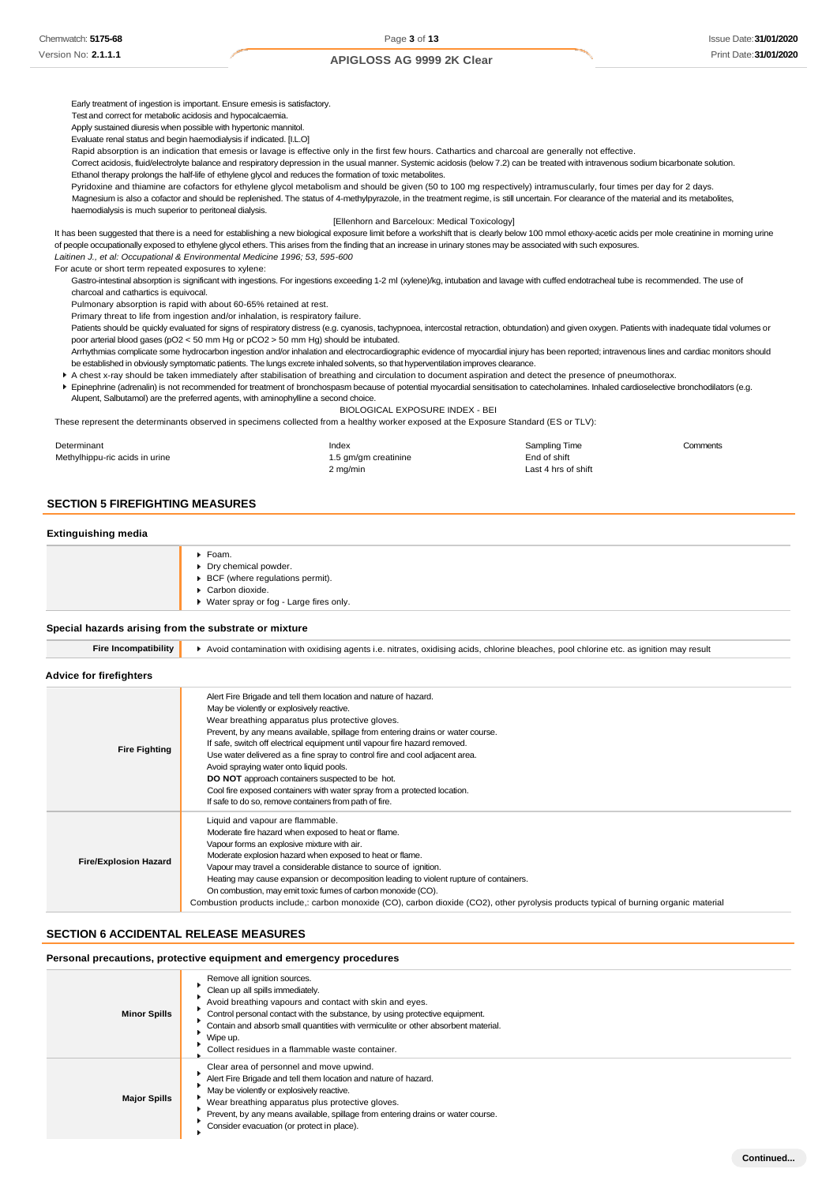Early treatment of ingestion is important. Ensure emesis is satisfactory.

Test and correct for metabolic acidosis and hypocalcaemia.

Apply sustained diuresis when possible with hypertonic mannitol.

Evaluate renal status and begin haemodialysis if indicated. [I.L.O]

Rapid absorption is an indication that emesis or lavage is effective only in the first few hours. Cathartics and charcoal are generally not effective.

Correct acidosis, fluid/electrolyte balance and respiratory depression in the usual manner. Systemic acidosis (below 7.2) can be treated with intravenous sodium bicarbonate solution. Ethanol therapy prolongs the half-life of ethylene glycol and reduces the formation of toxic metabolites.

Pyridoxine and thiamine are cofactors for ethylene glycol metabolism and should be given (50 to 100 mg respectively) intramuscularly, four times per day for 2 days.

Magnesium is also a cofactor and should be replenished. The status of 4-methylpyrazole, in the treatment regime, is still uncertain. For clearance of the material and its metabolites, haemodialysis is much superior to peritoneal dialysis.

#### [Ellenhorn and Barceloux: Medical Toxicology]

It has been suggested that there is a need for establishing a new biological exposure limit before a workshift that is clearly below 100 mmol ethoxy-acetic acids per mole creatinine in morning urine of people occupationally exposed to ethylene glycol ethers. This arises from the finding that an increase in urinary stones may be associated with such exposures.

*Laitinen J., et al: Occupational & Environmental Medicine 1996; 53, 595-600*

For acute or short term repeated exposures to xylene:

Gastro-intestinal absorption is significant with ingestions. For ingestions exceeding 1-2 ml (xylene)/kg, intubation and lavage with cuffed endotracheal tube is recommended. The use of charcoal and cathartics is equivocal.

Pulmonary absorption is rapid with about 60-65% retained at rest.

Primary threat to life from ingestion and/or inhalation, is respiratory failure.

Patients should be quickly evaluated for signs of respiratory distress (e.g. cyanosis, tachypnoea, intercostal retraction, obtundation) and given oxygen. Patients with inadequate tidal volumes or poor arterial blood gases (pO2 < 50 mm Hg or pCO2 > 50 mm Hg) should be intubated.

Arrhythmias complicate some hydrocarbon ingestion and/or inhalation and electrocardiographic evidence of myocardial injury has been reported; intravenous lines and cardiac monitors should be established in obviously symptomatic patients. The lungs excrete inhaled solvents, so that hyperventilation improves clearance.

A chest x-ray should be taken immediately after stabilisation of breathing and circulation to document aspiration and detect the presence of pneumothorax.

Epinephrine (adrenalin) is not recommended for treatment of bronchospasm because of potential myocardial sensitisation to catecholamines. Inhaled cardioselective bronchodilators (e.g. Alupent, Salbutamol) are the preferred agents, with aminophylline a second choice.

BIOLOGICAL EXPOSURE INDEX - BEI

These represent the determinants observed in specimens collected from a healthy worker exposed at the Exposure Standard (ES or TLV):

| Determinant                    | Index                | Sampling Time       | Comments |
|--------------------------------|----------------------|---------------------|----------|
| Methylhippu-ric acids in urine | 1.5 gm/gm creatinine | End of shift        |          |
|                                | 2 mg/min             | Last 4 hrs of shift |          |

# **SECTION 5 FIREFIGHTING MEASURES**

#### **Extinguishing media**

#### **Special hazards arising from the substrate or mixture**

| Fire Incompatibility |
|----------------------|

**Fire Incompatibility**  $\rightarrow$  Avoid contamination with oxidising agents i.e. nitrates, oxidising acids, chlorine bleaches, pool chlorine etc. as ignition may result

#### **Advice for firefighters**

| <b>Fire Fighting</b>         | Alert Fire Brigade and tell them location and nature of hazard.<br>May be violently or explosively reactive.<br>Wear breathing apparatus plus protective gloves.<br>Prevent, by any means available, spillage from entering drains or water course.<br>If safe, switch off electrical equipment until vapour fire hazard removed.<br>Use water delivered as a fine spray to control fire and cool adjacent area.<br>Avoid spraying water onto liquid pools.<br><b>DO NOT</b> approach containers suspected to be hot.<br>Cool fire exposed containers with water spray from a protected location.<br>If safe to do so, remove containers from path of fire. |
|------------------------------|-------------------------------------------------------------------------------------------------------------------------------------------------------------------------------------------------------------------------------------------------------------------------------------------------------------------------------------------------------------------------------------------------------------------------------------------------------------------------------------------------------------------------------------------------------------------------------------------------------------------------------------------------------------|
| <b>Fire/Explosion Hazard</b> | Liquid and vapour are flammable.<br>Moderate fire hazard when exposed to heat or flame.<br>Vapour forms an explosive mixture with air.<br>Moderate explosion hazard when exposed to heat or flame.<br>Vapour may travel a considerable distance to source of ignition.<br>Heating may cause expansion or decomposition leading to violent rupture of containers.<br>On combustion, may emit toxic fumes of carbon monoxide (CO).<br>Combustion products include,: carbon monoxide (CO), carbon dioxide (CO2), other pyrolysis products typical of burning organic material                                                                                  |

# **SECTION 6 ACCIDENTAL RELEASE MEASURES**

### **Personal precautions, protective equipment and emergency procedures**

| <b>Minor Spills</b> | Remove all ignition sources.<br>Clean up all spills immediately.<br>Avoid breathing vapours and contact with skin and eyes.<br>Control personal contact with the substance, by using protective equipment.<br>Contain and absorb small quantities with vermiculite or other absorbent material.<br>Wipe up.<br>Collect residues in a flammable waste container. |
|---------------------|-----------------------------------------------------------------------------------------------------------------------------------------------------------------------------------------------------------------------------------------------------------------------------------------------------------------------------------------------------------------|
| <b>Major Spills</b> | Clear area of personnel and move upwind.<br>Alert Fire Brigade and tell them location and nature of hazard.<br>May be violently or explosively reactive.<br>Wear breathing apparatus plus protective gloves.<br>Prevent, by any means available, spillage from entering drains or water course.<br>Consider evacuation (or protect in place).                   |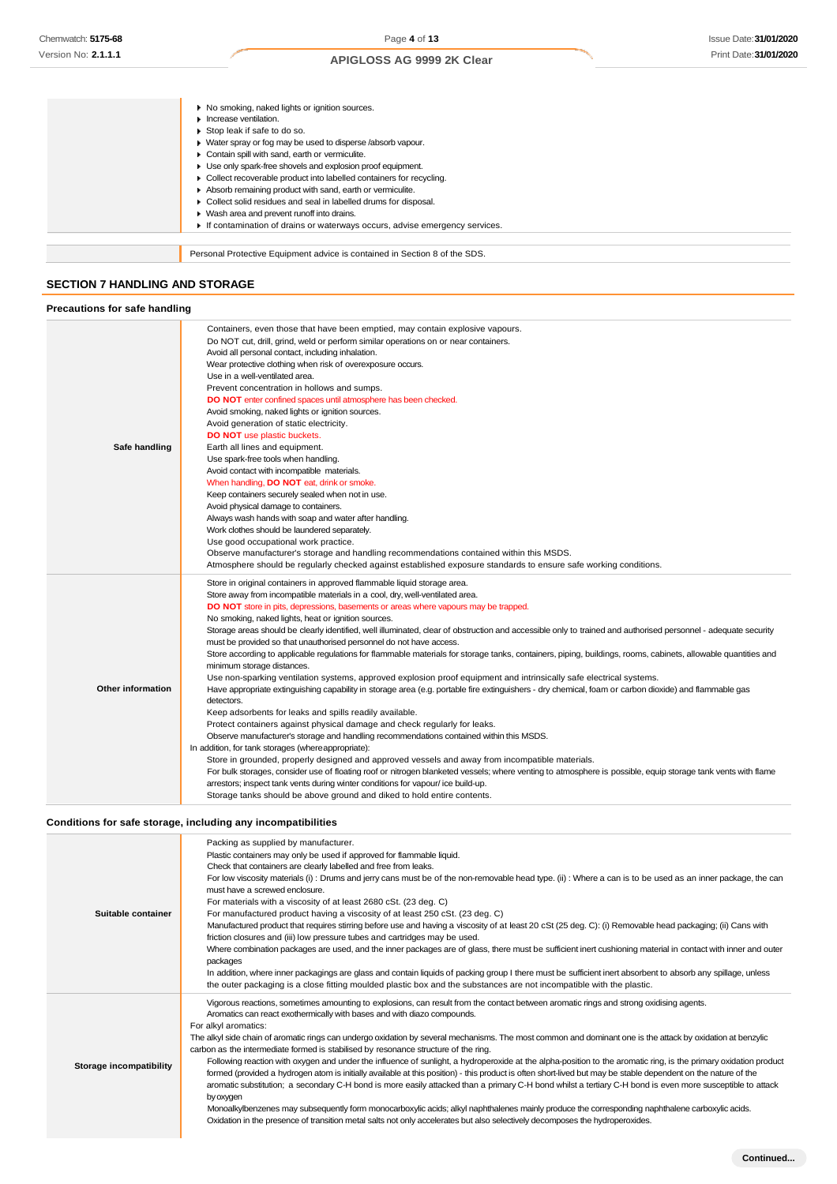| ▶ No smoking, naked lights or ignition sources.                            |
|----------------------------------------------------------------------------|
| Increase ventilation.                                                      |
| Stop leak if safe to do so.                                                |
| • Water spray or fog may be used to disperse /absorb vapour.               |
| Contain spill with sand, earth or vermiculite.                             |
| Use only spark-free shovels and explosion proof equipment.                 |
| Collect recoverable product into labelled containers for recycling.        |
| Absorb remaining product with sand, earth or vermiculite.                  |
| Collect solid residues and seal in labelled drums for disposal.            |
| ▶ Wash area and prevent runoff into drains.                                |
| If contamination of drains or waterways occurs, advise emergency services. |
|                                                                            |
| Personal Protective Equipment advice is contained in Section 8 of the SDS. |
|                                                                            |
| <b>SECTION 7 HANDLING AND STORAGE</b>                                      |
|                                                                            |
| Precautions for safe handling                                              |

| Safe handling            | Containers, even those that have been emptied, may contain explosive vapours.<br>Do NOT cut, drill, grind, weld or perform similar operations on or near containers.<br>Avoid all personal contact, including inhalation.<br>Wear protective clothing when risk of overexposure occurs.<br>Use in a well-ventilated area.<br>Prevent concentration in hollows and sumps.<br>DO NOT enter confined spaces until atmosphere has been checked.<br>Avoid smoking, naked lights or ignition sources.<br>Avoid generation of static electricity.<br><b>DO NOT</b> use plastic buckets.<br>Earth all lines and equipment.<br>Use spark-free tools when handling.<br>Avoid contact with incompatible materials.<br>When handling, DO NOT eat, drink or smoke.<br>Keep containers securely sealed when not in use.<br>Avoid physical damage to containers.<br>Always wash hands with soap and water after handling.<br>Work clothes should be laundered separately.<br>Use good occupational work practice.<br>Observe manufacturer's storage and handling recommendations contained within this MSDS.<br>Atmosphere should be regularly checked against established exposure standards to ensure safe working conditions.                                                                                                                                                                                                                                                                                                                                                                                                                                                                                                                                                      |
|--------------------------|------------------------------------------------------------------------------------------------------------------------------------------------------------------------------------------------------------------------------------------------------------------------------------------------------------------------------------------------------------------------------------------------------------------------------------------------------------------------------------------------------------------------------------------------------------------------------------------------------------------------------------------------------------------------------------------------------------------------------------------------------------------------------------------------------------------------------------------------------------------------------------------------------------------------------------------------------------------------------------------------------------------------------------------------------------------------------------------------------------------------------------------------------------------------------------------------------------------------------------------------------------------------------------------------------------------------------------------------------------------------------------------------------------------------------------------------------------------------------------------------------------------------------------------------------------------------------------------------------------------------------------------------------------------------------------------------------------------------------------------------------------------------|
| <b>Other information</b> | Store in original containers in approved flammable liquid storage area.<br>Store away from incompatible materials in a cool, dry, well-ventilated area.<br>DO NOT store in pits, depressions, basements or areas where vapours may be trapped.<br>No smoking, naked lights, heat or ignition sources.<br>Storage areas should be clearly identified, well illuminated, clear of obstruction and accessible only to trained and authorised personnel - adequate security<br>must be provided so that unauthorised personnel do not have access.<br>Store according to applicable regulations for flammable materials for storage tanks, containers, piping, buildings, rooms, cabinets, allowable quantities and<br>minimum storage distances.<br>Use non-sparking ventilation systems, approved explosion proof equipment and intrinsically safe electrical systems.<br>Have appropriate extinguishing capability in storage area (e.g. portable fire extinguishers - dry chemical, foam or carbon dioxide) and flammable gas<br>detectors.<br>Keep adsorbents for leaks and spills readily available.<br>Protect containers against physical damage and check regularly for leaks.<br>Observe manufacturer's storage and handling recommendations contained within this MSDS.<br>In addition, for tank storages (where appropriate):<br>Store in grounded, properly designed and approved vessels and away from incompatible materials.<br>For bulk storages, consider use of floating roof or nitrogen blanketed vessels; where venting to atmosphere is possible, equip storage tank vents with flame<br>arrestors; inspect tank vents during winter conditions for vapour/ice build-up.<br>Storage tanks should be above ground and diked to hold entire contents. |

# **Conditions for safe storage, including any incompatibilities**

| Suitable container             | Packing as supplied by manufacturer.<br>Plastic containers may only be used if approved for flammable liquid.<br>Check that containers are clearly labelled and free from leaks.<br>For low viscosity materials (i): Drums and jerry cans must be of the non-removable head type. (ii): Where a can is to be used as an inner package, the can<br>must have a screwed enclosure.<br>For materials with a viscosity of at least 2680 cSt. (23 deg. C)<br>For manufactured product having a viscosity of at least 250 cSt. (23 deg. C)<br>Manufactured product that requires stirring before use and having a viscosity of at least 20 cSt (25 deg. C): (i) Removable head packaging; (ii) Cans with<br>friction closures and (iii) low pressure tubes and cartridges may be used.<br>Where combination packages are used, and the inner packages are of glass, there must be sufficient inert cushioning material in contact with inner and outer<br>packages<br>In addition, where inner packagings are glass and contain liquids of packing group I there must be sufficient inert absorbent to absorb any spillage, unless<br>the outer packaging is a close fitting moulded plastic box and the substances are not incompatible with the plastic.                                               |
|--------------------------------|----------------------------------------------------------------------------------------------------------------------------------------------------------------------------------------------------------------------------------------------------------------------------------------------------------------------------------------------------------------------------------------------------------------------------------------------------------------------------------------------------------------------------------------------------------------------------------------------------------------------------------------------------------------------------------------------------------------------------------------------------------------------------------------------------------------------------------------------------------------------------------------------------------------------------------------------------------------------------------------------------------------------------------------------------------------------------------------------------------------------------------------------------------------------------------------------------------------------------------------------------------------------------------------------------|
| <b>Storage incompatibility</b> | Vigorous reactions, sometimes amounting to explosions, can result from the contact between aromatic rings and strong oxidising agents.<br>Aromatics can react exothermically with bases and with diazo compounds.<br>For alkyl aromatics:<br>The alkyl side chain of aromatic rings can undergo oxidation by several mechanisms. The most common and dominant one is the attack by oxidation at benzylic<br>carbon as the intermediate formed is stabilised by resonance structure of the ring.<br>Following reaction with oxygen and under the influence of sunlight, a hydroperoxide at the alpha-position to the aromatic ring, is the primary oxidation product<br>formed (provided a hydrogen atom is initially available at this position) - this product is often short-lived but may be stable dependent on the nature of the<br>aromatic substitution; a secondary C-H bond is more easily attacked than a primary C-H bond whilst a tertiary C-H bond is even more susceptible to attack<br>by oxygen<br>Monoalkylbenzenes may subsequently form monocarboxylic acids; alkyl naphthalenes mainly produce the corresponding naphthalene carboxylic acids.<br>Oxidation in the presence of transition metal salts not only accelerates but also selectively decomposes the hydroperoxides. |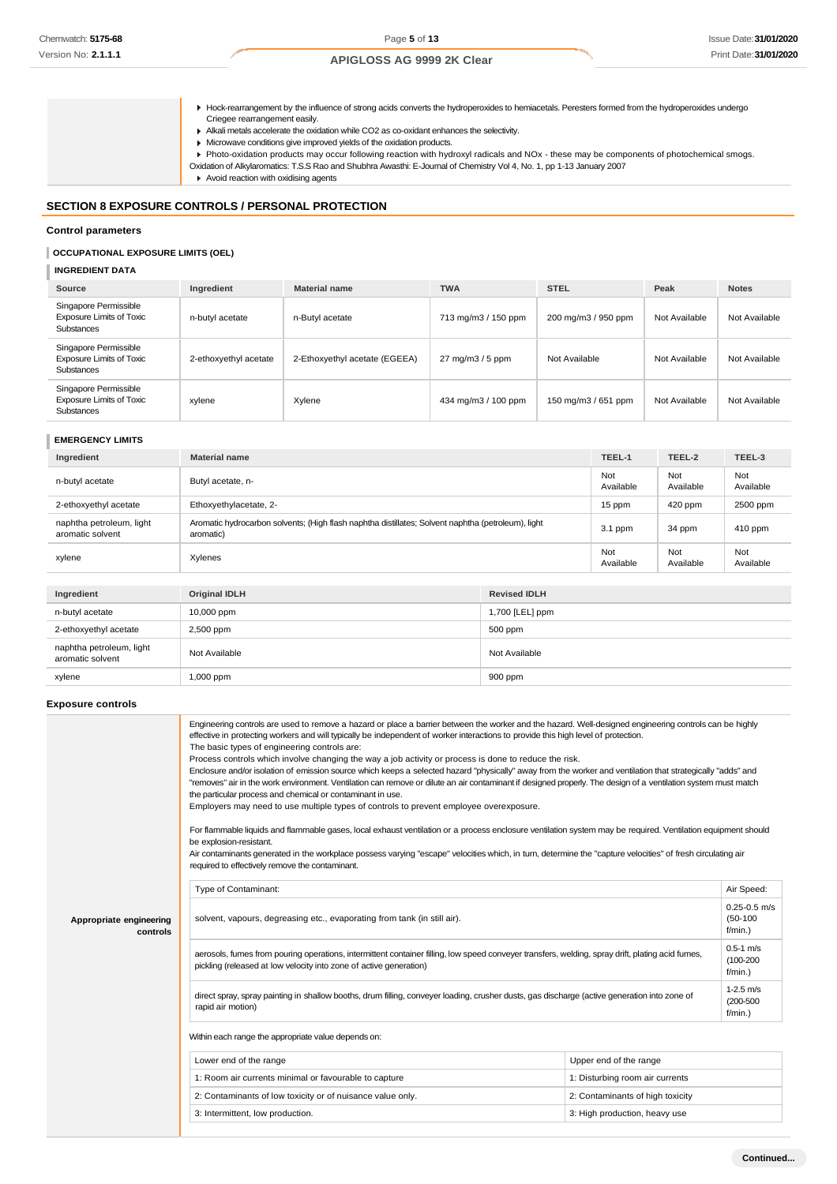Hock-rearrangement by the influence of strong acids converts the hydroperoxides to hemiacetals. Peresters formed from the hydroperoxides undergo Criegee rearrangement easily.

Alkali metals accelerate the oxidation while CO2 as co-oxidant enhances the selectivity.

- Microwave conditions give improved yields of the oxidation products.
- Photo-oxidation products may occur following reaction with hydroxyl radicals and NOx these may be components of photochemical smogs.
- Oxidation of Alkylaromatics: T.S.S Rao and Shubhra Awasthi: E-Journal of Chemistry Vol 4, No. 1, pp 1-13 January 2007
- Avoid reaction with oxidising agents

### **SECTION 8 EXPOSURE CONTROLS / PERSONAL PROTECTION**

#### **Control parameters**

# **OCCUPATIONAL EXPOSURE LIMITS (OEL)**

# **INGREDIENT DATA**

| Source                                                                 | Ingredient            | <b>Material name</b>          | <b>TWA</b>          | <b>STEL</b>         | Peak          | <b>Notes</b>  |
|------------------------------------------------------------------------|-----------------------|-------------------------------|---------------------|---------------------|---------------|---------------|
| Singapore Permissible<br><b>Exposure Limits of Toxic</b><br>Substances | n-butyl acetate       | n-Butyl acetate               | 713 mg/m3 / 150 ppm | 200 mg/m3 / 950 ppm | Not Available | Not Available |
| Singapore Permissible<br><b>Exposure Limits of Toxic</b><br>Substances | 2-ethoxyethyl acetate | 2-Ethoxyethyl acetate (EGEEA) | 27 mg/m3 / 5 ppm    | Not Available       | Not Available | Not Available |
| Singapore Permissible<br><b>Exposure Limits of Toxic</b><br>Substances | xylene                | Xylene                        | 434 mg/m3 / 100 ppm | 150 mg/m3 / 651 ppm | Not Available | Not Available |

# **EMERGENCY LIMITS**

| Ingredient                                   | <b>Material name</b>                                                                                            |                       | TEEL-1           | TEEL-2           | TEEL-3           |
|----------------------------------------------|-----------------------------------------------------------------------------------------------------------------|-----------------------|------------------|------------------|------------------|
| n-butyl acetate                              | Butyl acetate, n-                                                                                               |                       | Not<br>Available | Not<br>Available | Not<br>Available |
| 2-ethoxyethyl acetate                        | Ethoxyethylacetate, 2-                                                                                          |                       | 15 ppm           | 420 ppm          | 2500 ppm         |
| naphtha petroleum, light<br>aromatic solvent | Aromatic hydrocarbon solvents; (High flash naphtha distillates; Solvent naphtha (petroleum), light<br>aromatic) |                       | 3.1 ppm          | 34 ppm           | 410 ppm          |
| xylene                                       | Xylenes                                                                                                         |                       | Not<br>Available | Not<br>Available | Not<br>Available |
|                                              |                                                                                                                 |                       |                  |                  |                  |
| Ingredient                                   | <b>Original IDLH</b><br><b>Revised IDLH</b>                                                                     |                       |                  |                  |                  |
| المقصقصصات الريفانيات                        | $10.000 \text{ mm}$                                                                                             | $4.700$ II FI $1.222$ |                  |                  |                  |

| n-butyl acetate                              | 10,000 ppm    | 1,700 [LEL] ppm |
|----------------------------------------------|---------------|-----------------|
| 2-ethoxyethyl acetate                        | 2,500 ppm     | 500 ppm         |
| naphtha petroleum, light<br>aromatic solvent | Not Available | Not Available   |
| xylene                                       | 1,000 ppm     | 900 ppm         |

# **Exposure controls**

|                                     | Engineering controls are used to remove a hazard or place a barrier between the worker and the hazard. Well-designed engineering controls can be highly<br>effective in protecting workers and will typically be independent of worker interactions to provide this high level of protection.<br>The basic types of engineering controls are:<br>Process controls which involve changing the way a job activity or process is done to reduce the risk.<br>Enclosure and/or isolation of emission source which keeps a selected hazard "physically" away from the worker and ventilation that strategically "adds" and<br>"removes" air in the work environment. Ventilation can remove or dilute an air contaminant if designed properly. The design of a ventilation system must match<br>the particular process and chemical or contaminant in use.<br>Employers may need to use multiple types of controls to prevent employee overexposure.<br>For flammable liquids and flammable gases, local exhaust ventilation or a process enclosure ventilation system may be required. Ventilation equipment should<br>be explosion-resistant.<br>Air contaminants generated in the workplace possess varying "escape" velocities which, in turn, determine the "capture velocities" of fresh circulating air<br>required to effectively remove the contaminant. |                                  |                                            |
|-------------------------------------|--------------------------------------------------------------------------------------------------------------------------------------------------------------------------------------------------------------------------------------------------------------------------------------------------------------------------------------------------------------------------------------------------------------------------------------------------------------------------------------------------------------------------------------------------------------------------------------------------------------------------------------------------------------------------------------------------------------------------------------------------------------------------------------------------------------------------------------------------------------------------------------------------------------------------------------------------------------------------------------------------------------------------------------------------------------------------------------------------------------------------------------------------------------------------------------------------------------------------------------------------------------------------------------------------------------------------------------------------------------|----------------------------------|--------------------------------------------|
|                                     | Type of Contaminant:                                                                                                                                                                                                                                                                                                                                                                                                                                                                                                                                                                                                                                                                                                                                                                                                                                                                                                                                                                                                                                                                                                                                                                                                                                                                                                                                         |                                  | Air Speed:                                 |
| Appropriate engineering<br>controls | solvent, vapours, degreasing etc., evaporating from tank (in still air).                                                                                                                                                                                                                                                                                                                                                                                                                                                                                                                                                                                                                                                                                                                                                                                                                                                                                                                                                                                                                                                                                                                                                                                                                                                                                     |                                  |                                            |
|                                     | aerosols, fumes from pouring operations, intermittent container filling, low speed conveyer transfers, welding, spray drift, plating acid fumes,<br>pickling (released at low velocity into zone of active generation)                                                                                                                                                                                                                                                                                                                                                                                                                                                                                                                                                                                                                                                                                                                                                                                                                                                                                                                                                                                                                                                                                                                                       |                                  | $0.5 - 1$ m/s<br>$(100 - 200)$<br>f/min.)  |
|                                     | direct spray, spray painting in shallow booths, drum filling, conveyer loading, crusher dusts, gas discharge (active generation into zone of<br>rapid air motion)                                                                                                                                                                                                                                                                                                                                                                                                                                                                                                                                                                                                                                                                                                                                                                                                                                                                                                                                                                                                                                                                                                                                                                                            |                                  | $1-2.5$ m/s<br>$(200 - 500)$<br>$f/min.$ ) |
|                                     | Within each range the appropriate value depends on:                                                                                                                                                                                                                                                                                                                                                                                                                                                                                                                                                                                                                                                                                                                                                                                                                                                                                                                                                                                                                                                                                                                                                                                                                                                                                                          |                                  |                                            |
|                                     | Lower end of the range                                                                                                                                                                                                                                                                                                                                                                                                                                                                                                                                                                                                                                                                                                                                                                                                                                                                                                                                                                                                                                                                                                                                                                                                                                                                                                                                       | Upper end of the range           |                                            |
|                                     | 1: Room air currents minimal or favourable to capture                                                                                                                                                                                                                                                                                                                                                                                                                                                                                                                                                                                                                                                                                                                                                                                                                                                                                                                                                                                                                                                                                                                                                                                                                                                                                                        | 1: Disturbing room air currents  |                                            |
|                                     | 2: Contaminants of low toxicity or of nuisance value only.                                                                                                                                                                                                                                                                                                                                                                                                                                                                                                                                                                                                                                                                                                                                                                                                                                                                                                                                                                                                                                                                                                                                                                                                                                                                                                   | 2: Contaminants of high toxicity |                                            |
|                                     | 3: Intermittent, low production.                                                                                                                                                                                                                                                                                                                                                                                                                                                                                                                                                                                                                                                                                                                                                                                                                                                                                                                                                                                                                                                                                                                                                                                                                                                                                                                             | 3: High production, heavy use    |                                            |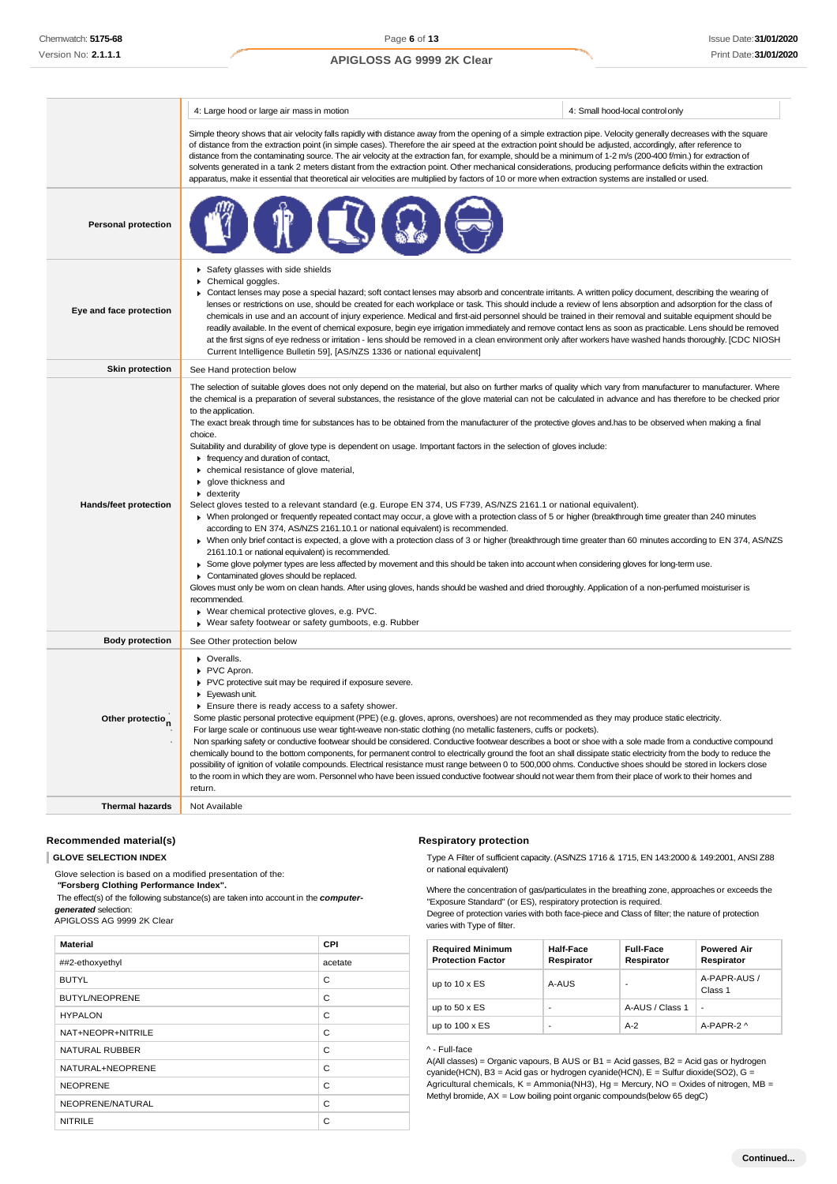|                              | 4: Large hood or large air mass in motion                                                                                                                                                                                                                                                                                                                                                                                                                                                                                                                                                                                                                                                                                                                                                                                                                                                                                                                                                                                                                                                                                                                                                                                                                                                                                                                                                                                                                                                                                                                                                                                                                                                                                                                                                                                                            | 4: Small hood-local control only |
|------------------------------|------------------------------------------------------------------------------------------------------------------------------------------------------------------------------------------------------------------------------------------------------------------------------------------------------------------------------------------------------------------------------------------------------------------------------------------------------------------------------------------------------------------------------------------------------------------------------------------------------------------------------------------------------------------------------------------------------------------------------------------------------------------------------------------------------------------------------------------------------------------------------------------------------------------------------------------------------------------------------------------------------------------------------------------------------------------------------------------------------------------------------------------------------------------------------------------------------------------------------------------------------------------------------------------------------------------------------------------------------------------------------------------------------------------------------------------------------------------------------------------------------------------------------------------------------------------------------------------------------------------------------------------------------------------------------------------------------------------------------------------------------------------------------------------------------------------------------------------------------|----------------------------------|
|                              | Simple theory shows that air velocity falls rapidly with distance away from the opening of a simple extraction pipe. Velocity generally decreases with the square<br>of distance from the extraction point (in simple cases). Therefore the air speed at the extraction point should be adjusted, accordingly, after reference to<br>distance from the contaminating source. The air velocity at the extraction fan, for example, should be a minimum of 1-2 m/s (200-400 f/min.) for extraction of<br>solvents generated in a tank 2 meters distant from the extraction point. Other mechanical considerations, producing performance deficits within the extraction<br>apparatus, make it essential that theoretical air velocities are multiplied by factors of 10 or more when extraction systems are installed or used.                                                                                                                                                                                                                                                                                                                                                                                                                                                                                                                                                                                                                                                                                                                                                                                                                                                                                                                                                                                                                         |                                  |
| <b>Personal protection</b>   |                                                                                                                                                                                                                                                                                                                                                                                                                                                                                                                                                                                                                                                                                                                                                                                                                                                                                                                                                                                                                                                                                                                                                                                                                                                                                                                                                                                                                                                                                                                                                                                                                                                                                                                                                                                                                                                      |                                  |
| Eye and face protection      | Safety glasses with side shields<br>Chemical goggles.<br>▶ Contact lenses may pose a special hazard; soft contact lenses may absorb and concentrate irritants. A written policy document, describing the wearing of<br>lenses or restrictions on use, should be created for each workplace or task. This should include a review of lens absorption and adsorption for the class of<br>chemicals in use and an account of injury experience. Medical and first-aid personnel should be trained in their removal and suitable equipment should be<br>readily available. In the event of chemical exposure, begin eye irrigation immediately and remove contact lens as soon as practicable. Lens should be removed<br>at the first signs of eye redness or irritation - lens should be removed in a clean environment only after workers have washed hands thoroughly. [CDC NIOSH<br>Current Intelligence Bulletin 59], [AS/NZS 1336 or national equivalent]                                                                                                                                                                                                                                                                                                                                                                                                                                                                                                                                                                                                                                                                                                                                                                                                                                                                                          |                                  |
| <b>Skin protection</b>       | See Hand protection below                                                                                                                                                                                                                                                                                                                                                                                                                                                                                                                                                                                                                                                                                                                                                                                                                                                                                                                                                                                                                                                                                                                                                                                                                                                                                                                                                                                                                                                                                                                                                                                                                                                                                                                                                                                                                            |                                  |
| Hands/feet protection        | The selection of suitable gloves does not only depend on the material, but also on further marks of quality which vary from manufacturer to manufacturer. Where<br>the chemical is a preparation of several substances, the resistance of the glove material can not be calculated in advance and has therefore to be checked prior<br>to the application.<br>The exact break through time for substances has to be obtained from the manufacturer of the protective gloves and has to be observed when making a final<br>choice.<br>Suitability and durability of glove type is dependent on usage. Important factors in the selection of gloves include:<br>Firequency and duration of contact,<br>• chemical resistance of glove material,<br>glove thickness and<br>٠<br>• dexterity<br>Select gloves tested to a relevant standard (e.g. Europe EN 374, US F739, AS/NZS 2161.1 or national equivalent).<br>> When prolonged or frequently repeated contact may occur, a glove with a protection class of 5 or higher (breakthrough time greater than 240 minutes<br>according to EN 374, AS/NZS 2161.10.1 or national equivalent) is recommended.<br>> When only brief contact is expected, a glove with a protection class of 3 or higher (breakthrough time greater than 60 minutes according to EN 374, AS/NZS<br>2161.10.1 or national equivalent) is recommended.<br>► Some glove polymer types are less affected by movement and this should be taken into account when considering gloves for long-term use.<br>Contaminated gloves should be replaced.<br>Gloves must only be wom on clean hands. After using gloves, hands should be washed and dried thoroughly. Application of a non-perfumed moisturiser is<br>recommended.<br>▶ Wear chemical protective gloves, e.g. PVC.<br>Wear safety footwear or safety gumboots, e.g. Rubber |                                  |
| <b>Body protection</b>       | See Other protection below                                                                                                                                                                                                                                                                                                                                                                                                                                                                                                                                                                                                                                                                                                                                                                                                                                                                                                                                                                                                                                                                                                                                                                                                                                                                                                                                                                                                                                                                                                                                                                                                                                                                                                                                                                                                                           |                                  |
| Other protectio <sub>n</sub> | • Overalls.<br>PVC Apron.<br>PVC protective suit may be required if exposure severe.<br>Eyewash unit.<br>Ensure there is ready access to a safety shower.<br>Some plastic personal protective equipment (PPE) (e.g. gloves, aprons, overshoes) are not recommended as they may produce static electricity.<br>For large scale or continuous use wear tight-weave non-static clothing (no metallic fasteners, cuffs or pockets).<br>Non sparking safety or conductive footwear should be considered. Conductive footwear describes a boot or shoe with a sole made from a conductive compound<br>chemically bound to the bottom components, for permanent control to electrically ground the foot an shall dissipate static electricity from the body to reduce the<br>possibility of ignition of volatile compounds. Electrical resistance must range between 0 to 500,000 ohms. Conductive shoes should be stored in lockers close<br>to the room in which they are worn. Personnel who have been issued conductive footwear should not wear them from their place of work to their homes and<br>return.                                                                                                                                                                                                                                                                                                                                                                                                                                                                                                                                                                                                                                                                                                                                            |                                  |
| <b>Thermal hazards</b>       | Not Available                                                                                                                                                                                                                                                                                                                                                                                                                                                                                                                                                                                                                                                                                                                                                                                                                                                                                                                                                                                                                                                                                                                                                                                                                                                                                                                                                                                                                                                                                                                                                                                                                                                                                                                                                                                                                                        |                                  |

### **Recommended material(s)**

**GLOVE SELECTION INDEX**

| Glove selection is based on a modified presentation of the:<br>"Forsberg Clothing Performance Index".<br>The effect(s) of the following substance(s) are taken into account in the computer-<br>generated selection:<br>APIGLOSS AG 9999 2K Clear |         |  |  |
|---------------------------------------------------------------------------------------------------------------------------------------------------------------------------------------------------------------------------------------------------|---------|--|--|
| <b>Material</b>                                                                                                                                                                                                                                   | CPI     |  |  |
| ##2-ethoxyethyl                                                                                                                                                                                                                                   | acetate |  |  |
| <b>BUTYL</b>                                                                                                                                                                                                                                      | C       |  |  |
| <b>BUTYL/NEOPRENE</b>                                                                                                                                                                                                                             | C       |  |  |
| <b>HYPALON</b>                                                                                                                                                                                                                                    | C       |  |  |
| NAT+NEOPR+NITRILE                                                                                                                                                                                                                                 | C       |  |  |
| <b>NATURAL RUBBER</b>                                                                                                                                                                                                                             | C       |  |  |
| NATURAL+NEOPRENE                                                                                                                                                                                                                                  | C       |  |  |
| <b>NFOPRENE</b>                                                                                                                                                                                                                                   | C       |  |  |
| NEOPRENE/NATURAL                                                                                                                                                                                                                                  | C       |  |  |
| <b>NITRILF</b>                                                                                                                                                                                                                                    | C       |  |  |

### **Respiratory protection**

Type A Filter of sufficient capacity. (AS/NZS 1716 & 1715, EN 143:2000 & 149:2001, ANSI Z88 or national equivalent)

Where the concentration of gas/particulates in the breathing zone, approaches or exceeds the "Exposure Standard" (or ES), respiratory protection is required.

Degree of protection varies with both face-piece and Class of filter; the nature of protection varies with Type of filter.

| <b>Required Minimum</b><br><b>Protection Factor</b> | <b>Half-Face</b><br>Respirator | <b>Full-Face</b><br>Respirator | <b>Powered Air</b><br>Respirator |
|-----------------------------------------------------|--------------------------------|--------------------------------|----------------------------------|
| up to $10 \times ES$                                | A-AUS                          |                                | A-PAPR-AUS /<br>Class 1          |
| up to $50 \times ES$                                | -                              | A-AUS / Class 1                |                                  |
| up to $100 \times ES$                               |                                | $A-2$                          | A-PAPR-2 $\land$                 |

#### ^ - Full-face

A(All classes) = Organic vapours, B AUS or B1 = Acid gasses, B2 = Acid gas or hydrogen cyanide(HCN), B3 = Acid gas or hydrogen cyanide(HCN), E = Sulfur dioxide(SO2), G = Agricultural chemicals,  $K =$  Ammonia(NH3), Hg = Mercury, NO = Oxides of nitrogen, MB = Methyl bromide, AX = Low boiling point organic compounds(below 65 degC)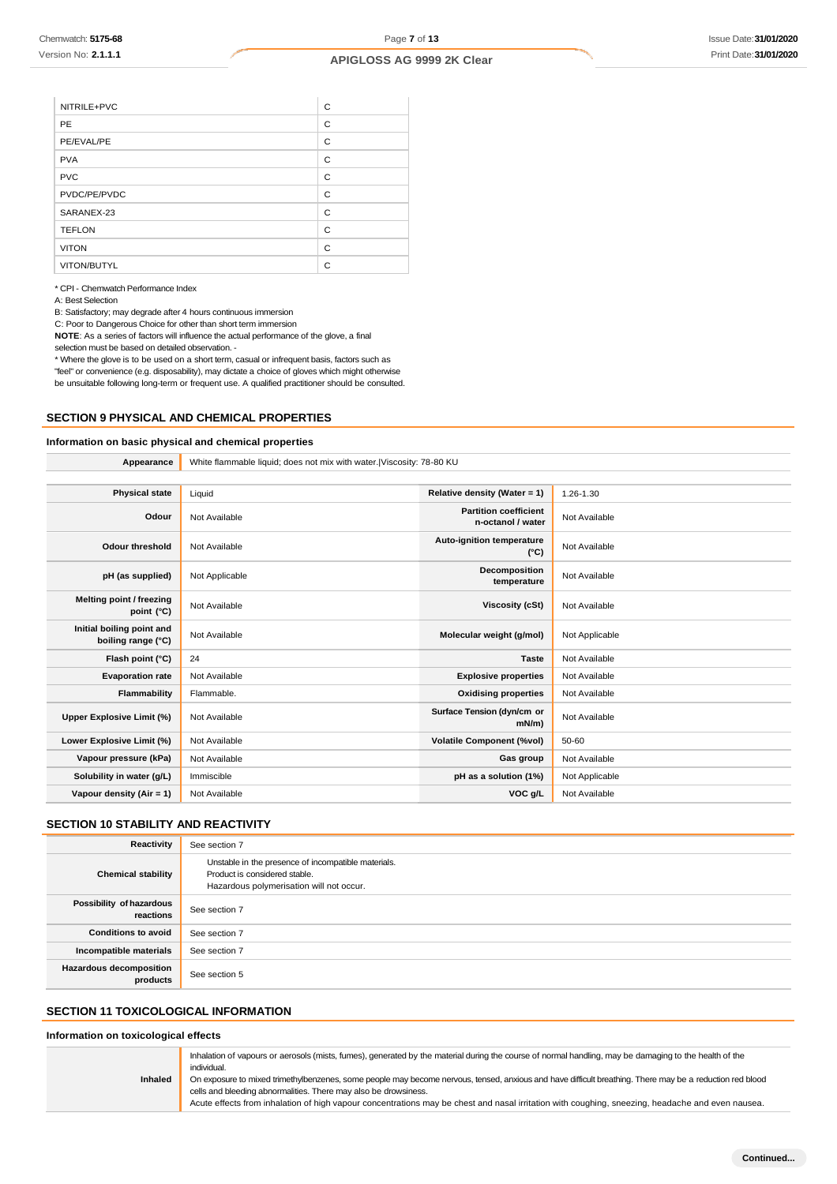| NITRILE+PVC   | C |
|---------------|---|
| <b>PE</b>     | C |
| PE/EVAL/PE    | C |
| <b>PVA</b>    | C |
| <b>PVC</b>    | C |
| PVDC/PE/PVDC  | C |
| SARANEX-23    | C |
| <b>TEFLON</b> | C |
| <b>VITON</b>  | C |
| VITON/BUTYL   | C |

\* CPI - Chemwatch Performance Index

A: Best Selection

B: Satisfactory; may degrade after 4 hours continuous immersion

C: Poor to Dangerous Choice for other than short term immersion

**NOTE**: As a series of factors will influence the actual performance of the glove, a final

selection must be based on detailed observation. -

\* Where the glove is to be used on a short term, casual or infrequent basis, factors such as "feel" or convenience (e.g. disposability), may dictate a choice of gloves which might otherwise be unsuitable following long-term or frequent use. A qualified practitioner should be consulted.

#### **SECTION 9 PHYSICAL AND CHEMICAL PROPERTIES**

### **Information on basic physical and chemical properties**

**Appearance** White flammable liquid; does not mix with water.|Viscosity: 78-80 KU **Physical state** Liquid **Relative density (Water = 1)** 1.26-1.30 **Odour** Not Available **Partition coefficient Partition coefficient n-octanol / water** Not Available **Odour threshold** Not Available **Auto-ignition temperature (°C)** Not Available **pH (as supplied)** Not Applicable **Decomposition temperature** Not Available **Melting point / freezing point** (°C) Not Available **Viscosity (cSt)** Not Available **Viscosity (cSt)** Not Available **Initial boiling point and boiling range (°C)** Not Available **Molecular weight (g/mol)** Not Applicable **boiling range (°C)** Not Applicable **Flash point (°C)** 24 **Taste** Not Available **Evaporation rate** Not Available **Explosive properties** Not Available **Flammability** Flammable. **Communist Example 2 Oxidising properties** Not Available **Upper Explosive Limit (%)** Not Available **Surface Tension (dyn/cm or mN/m)** Not Available **Lower Explosive Limit (%)** Not Available **Volatile Component (%vol)** 50-60 **Vapour pressure (kPa)** Not Available **Gas group** Not Available **Gas group** Not Available **Solubility in water (g/L)** Immiscible **phase a solution (1%)** Not Applicable **Vapour density (Air = 1)** Not Available **VOC g/L** Not Available

# **SECTION 10 STABILITY AND REACTIVITY**

| Reactivity                                 | See section 7                                                                                                                    |
|--------------------------------------------|----------------------------------------------------------------------------------------------------------------------------------|
| <b>Chemical stability</b>                  | Unstable in the presence of incompatible materials.<br>Product is considered stable.<br>Hazardous polymerisation will not occur. |
| Possibility of hazardous<br>reactions      | See section 7                                                                                                                    |
| <b>Conditions to avoid</b>                 | See section 7                                                                                                                    |
| Incompatible materials                     | See section 7                                                                                                                    |
| <b>Hazardous decomposition</b><br>products | See section 5                                                                                                                    |

# **SECTION 11 TOXICOLOGICAL INFORMATION**

#### **Information on toxicological effects**

| Inhaled | Inhalation of vapours or aerosols (mists, fumes), generated by the material during the course of normal handling, may be damaging to the health of the<br>individual.<br>On exposure to mixed trimethylbenzenes, some people may become nervous, tensed, anxious and have difficult breathing. There may be a reduction red blood<br>cells and bleeding abnormalities. There may also be drowsiness. |
|---------|------------------------------------------------------------------------------------------------------------------------------------------------------------------------------------------------------------------------------------------------------------------------------------------------------------------------------------------------------------------------------------------------------|
|         | Acute effects from inhalation of high vapour concentrations may be chest and nasal irritation with coughing, sneezing, headache and even nausea.                                                                                                                                                                                                                                                     |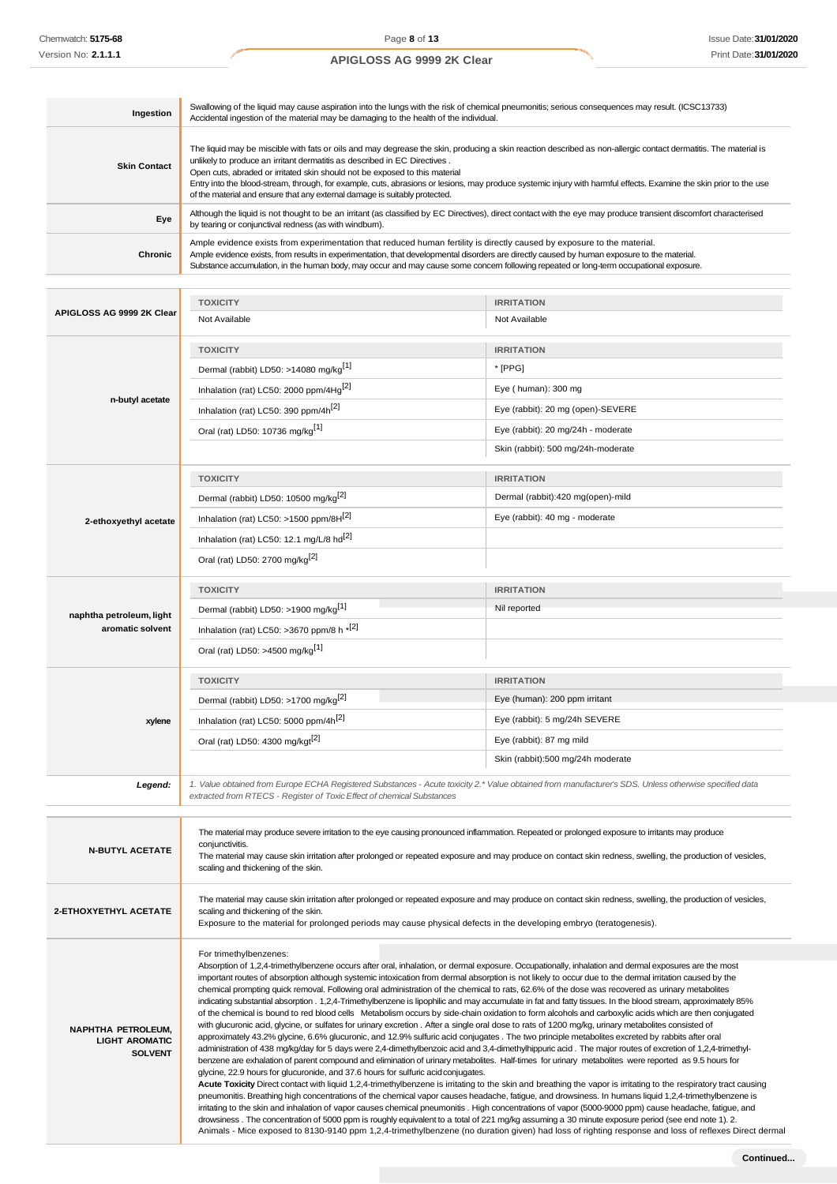| Ingestion           | Swallowing of the liquid may cause aspiration into the lungs with the risk of chemical pneumonitis; serious consequences may result. (ICSC13733)<br>Accidental ingestion of the material may be damaging to the health of the individual.                                                                                                                                                                                                                                                                                                                                       |
|---------------------|---------------------------------------------------------------------------------------------------------------------------------------------------------------------------------------------------------------------------------------------------------------------------------------------------------------------------------------------------------------------------------------------------------------------------------------------------------------------------------------------------------------------------------------------------------------------------------|
| <b>Skin Contact</b> | The liquid may be miscible with fats or oils and may degrease the skin, producing a skin reaction described as non-allergic contact dermatitis. The material is<br>unlikely to produce an irritant dermatitis as described in EC Directives.<br>Open cuts, abraded or irritated skin should not be exposed to this material<br>Entry into the blood-stream, through, for example, cuts, abrasions or lesions, may produce systemic injury with harmful effects. Examine the skin prior to the use<br>of the material and ensure that any external damage is suitably protected. |
| Eye                 | Although the liquid is not thought to be an irritant (as classified by EC Directives), direct contact with the eye may produce transient discomfort characterised<br>by tearing or conjunctival redness (as with windburn).                                                                                                                                                                                                                                                                                                                                                     |
| Chronic             | Ample evidence exists from experimentation that reduced human fertility is directly caused by exposure to the material.<br>Ample evidence exists, from results in experimentation, that developmental disorders are directly caused by human exposure to the material.<br>Substance accumulation, in the human body, may occur and may cause some concern following repeated or long-term occupational exposure.                                                                                                                                                                |

|                                                                      | <b>TOXICITY</b>                                                                                                                                                                                                                                                                                                                                                                                                                                                                                                                                                                                                                                                                                                                                                                                                                                                                                                                                                                                                                                                                                                                                                                                                                                                                                                                                                                                                                                                                                                                                                                                                                                                                                                                                                                                                                                                                                                                                                                                                                                                                                                                                                                                                                                                                                                 | <b>IRRITATION</b>                                                                                                                                          |
|----------------------------------------------------------------------|-----------------------------------------------------------------------------------------------------------------------------------------------------------------------------------------------------------------------------------------------------------------------------------------------------------------------------------------------------------------------------------------------------------------------------------------------------------------------------------------------------------------------------------------------------------------------------------------------------------------------------------------------------------------------------------------------------------------------------------------------------------------------------------------------------------------------------------------------------------------------------------------------------------------------------------------------------------------------------------------------------------------------------------------------------------------------------------------------------------------------------------------------------------------------------------------------------------------------------------------------------------------------------------------------------------------------------------------------------------------------------------------------------------------------------------------------------------------------------------------------------------------------------------------------------------------------------------------------------------------------------------------------------------------------------------------------------------------------------------------------------------------------------------------------------------------------------------------------------------------------------------------------------------------------------------------------------------------------------------------------------------------------------------------------------------------------------------------------------------------------------------------------------------------------------------------------------------------------------------------------------------------------------------------------------------------|------------------------------------------------------------------------------------------------------------------------------------------------------------|
| APIGLOSS AG 9999 2K Clear                                            | Not Available                                                                                                                                                                                                                                                                                                                                                                                                                                                                                                                                                                                                                                                                                                                                                                                                                                                                                                                                                                                                                                                                                                                                                                                                                                                                                                                                                                                                                                                                                                                                                                                                                                                                                                                                                                                                                                                                                                                                                                                                                                                                                                                                                                                                                                                                                                   | Not Available                                                                                                                                              |
|                                                                      | <b>TOXICITY</b>                                                                                                                                                                                                                                                                                                                                                                                                                                                                                                                                                                                                                                                                                                                                                                                                                                                                                                                                                                                                                                                                                                                                                                                                                                                                                                                                                                                                                                                                                                                                                                                                                                                                                                                                                                                                                                                                                                                                                                                                                                                                                                                                                                                                                                                                                                 | <b>IRRITATION</b>                                                                                                                                          |
|                                                                      | Dermal (rabbit) LD50: >14080 mg/kg <sup>[1]</sup>                                                                                                                                                                                                                                                                                                                                                                                                                                                                                                                                                                                                                                                                                                                                                                                                                                                                                                                                                                                                                                                                                                                                                                                                                                                                                                                                                                                                                                                                                                                                                                                                                                                                                                                                                                                                                                                                                                                                                                                                                                                                                                                                                                                                                                                               | * [PPG]                                                                                                                                                    |
|                                                                      | Inhalation (rat) LC50: 2000 ppm/4Hg <sup>[2]</sup>                                                                                                                                                                                                                                                                                                                                                                                                                                                                                                                                                                                                                                                                                                                                                                                                                                                                                                                                                                                                                                                                                                                                                                                                                                                                                                                                                                                                                                                                                                                                                                                                                                                                                                                                                                                                                                                                                                                                                                                                                                                                                                                                                                                                                                                              | Eye (human): 300 mg                                                                                                                                        |
| n-butyl acetate                                                      | Inhalation (rat) LC50: 390 ppm/4h <sup>[2]</sup>                                                                                                                                                                                                                                                                                                                                                                                                                                                                                                                                                                                                                                                                                                                                                                                                                                                                                                                                                                                                                                                                                                                                                                                                                                                                                                                                                                                                                                                                                                                                                                                                                                                                                                                                                                                                                                                                                                                                                                                                                                                                                                                                                                                                                                                                | Eye (rabbit): 20 mg (open)-SEVERE                                                                                                                          |
|                                                                      | Oral (rat) LD50: 10736 mg/kg <sup>[1]</sup>                                                                                                                                                                                                                                                                                                                                                                                                                                                                                                                                                                                                                                                                                                                                                                                                                                                                                                                                                                                                                                                                                                                                                                                                                                                                                                                                                                                                                                                                                                                                                                                                                                                                                                                                                                                                                                                                                                                                                                                                                                                                                                                                                                                                                                                                     | Eye (rabbit): 20 mg/24h - moderate                                                                                                                         |
|                                                                      |                                                                                                                                                                                                                                                                                                                                                                                                                                                                                                                                                                                                                                                                                                                                                                                                                                                                                                                                                                                                                                                                                                                                                                                                                                                                                                                                                                                                                                                                                                                                                                                                                                                                                                                                                                                                                                                                                                                                                                                                                                                                                                                                                                                                                                                                                                                 | Skin (rabbit): 500 mg/24h-moderate                                                                                                                         |
|                                                                      | <b>TOXICITY</b>                                                                                                                                                                                                                                                                                                                                                                                                                                                                                                                                                                                                                                                                                                                                                                                                                                                                                                                                                                                                                                                                                                                                                                                                                                                                                                                                                                                                                                                                                                                                                                                                                                                                                                                                                                                                                                                                                                                                                                                                                                                                                                                                                                                                                                                                                                 | <b>IRRITATION</b>                                                                                                                                          |
|                                                                      | Dermal (rabbit) LD50: 10500 mg/kg <sup>[2]</sup>                                                                                                                                                                                                                                                                                                                                                                                                                                                                                                                                                                                                                                                                                                                                                                                                                                                                                                                                                                                                                                                                                                                                                                                                                                                                                                                                                                                                                                                                                                                                                                                                                                                                                                                                                                                                                                                                                                                                                                                                                                                                                                                                                                                                                                                                | Dermal (rabbit):420 mg(open)-mild                                                                                                                          |
| 2-ethoxyethyl acetate                                                | Inhalation (rat) LC50: >1500 ppm/8H[2]                                                                                                                                                                                                                                                                                                                                                                                                                                                                                                                                                                                                                                                                                                                                                                                                                                                                                                                                                                                                                                                                                                                                                                                                                                                                                                                                                                                                                                                                                                                                                                                                                                                                                                                                                                                                                                                                                                                                                                                                                                                                                                                                                                                                                                                                          | Eye (rabbit): 40 mg - moderate                                                                                                                             |
|                                                                      | Inhalation (rat) LC50: 12.1 mg/L/8 hd <sup>[2]</sup>                                                                                                                                                                                                                                                                                                                                                                                                                                                                                                                                                                                                                                                                                                                                                                                                                                                                                                                                                                                                                                                                                                                                                                                                                                                                                                                                                                                                                                                                                                                                                                                                                                                                                                                                                                                                                                                                                                                                                                                                                                                                                                                                                                                                                                                            |                                                                                                                                                            |
|                                                                      | Oral (rat) LD50: 2700 mg/kg <sup>[2]</sup>                                                                                                                                                                                                                                                                                                                                                                                                                                                                                                                                                                                                                                                                                                                                                                                                                                                                                                                                                                                                                                                                                                                                                                                                                                                                                                                                                                                                                                                                                                                                                                                                                                                                                                                                                                                                                                                                                                                                                                                                                                                                                                                                                                                                                                                                      |                                                                                                                                                            |
|                                                                      | <b>TOXICITY</b>                                                                                                                                                                                                                                                                                                                                                                                                                                                                                                                                                                                                                                                                                                                                                                                                                                                                                                                                                                                                                                                                                                                                                                                                                                                                                                                                                                                                                                                                                                                                                                                                                                                                                                                                                                                                                                                                                                                                                                                                                                                                                                                                                                                                                                                                                                 | <b>IRRITATION</b>                                                                                                                                          |
| naphtha petroleum, light                                             | Dermal (rabbit) LD50: >1900 mg/kg <sup>[1]</sup>                                                                                                                                                                                                                                                                                                                                                                                                                                                                                                                                                                                                                                                                                                                                                                                                                                                                                                                                                                                                                                                                                                                                                                                                                                                                                                                                                                                                                                                                                                                                                                                                                                                                                                                                                                                                                                                                                                                                                                                                                                                                                                                                                                                                                                                                | Nil reported                                                                                                                                               |
| aromatic solvent                                                     | Inhalation (rat) LC50: >3670 ppm/8 h *[2]                                                                                                                                                                                                                                                                                                                                                                                                                                                                                                                                                                                                                                                                                                                                                                                                                                                                                                                                                                                                                                                                                                                                                                                                                                                                                                                                                                                                                                                                                                                                                                                                                                                                                                                                                                                                                                                                                                                                                                                                                                                                                                                                                                                                                                                                       |                                                                                                                                                            |
|                                                                      | Oral (rat) LD50: >4500 mg/kg <sup>[1]</sup>                                                                                                                                                                                                                                                                                                                                                                                                                                                                                                                                                                                                                                                                                                                                                                                                                                                                                                                                                                                                                                                                                                                                                                                                                                                                                                                                                                                                                                                                                                                                                                                                                                                                                                                                                                                                                                                                                                                                                                                                                                                                                                                                                                                                                                                                     |                                                                                                                                                            |
|                                                                      | <b>TOXICITY</b>                                                                                                                                                                                                                                                                                                                                                                                                                                                                                                                                                                                                                                                                                                                                                                                                                                                                                                                                                                                                                                                                                                                                                                                                                                                                                                                                                                                                                                                                                                                                                                                                                                                                                                                                                                                                                                                                                                                                                                                                                                                                                                                                                                                                                                                                                                 | <b>IRRITATION</b>                                                                                                                                          |
|                                                                      | Dermal (rabbit) LD50: >1700 mg/kg <sup>[2]</sup>                                                                                                                                                                                                                                                                                                                                                                                                                                                                                                                                                                                                                                                                                                                                                                                                                                                                                                                                                                                                                                                                                                                                                                                                                                                                                                                                                                                                                                                                                                                                                                                                                                                                                                                                                                                                                                                                                                                                                                                                                                                                                                                                                                                                                                                                | Eye (human): 200 ppm irritant                                                                                                                              |
| xylene                                                               | Inhalation (rat) LC50: 5000 ppm/4h <sup>[2]</sup>                                                                                                                                                                                                                                                                                                                                                                                                                                                                                                                                                                                                                                                                                                                                                                                                                                                                                                                                                                                                                                                                                                                                                                                                                                                                                                                                                                                                                                                                                                                                                                                                                                                                                                                                                                                                                                                                                                                                                                                                                                                                                                                                                                                                                                                               | Eye (rabbit): 5 mg/24h SEVERE                                                                                                                              |
|                                                                      | Oral (rat) LD50: 4300 mg/kgt <sup>[2]</sup>                                                                                                                                                                                                                                                                                                                                                                                                                                                                                                                                                                                                                                                                                                                                                                                                                                                                                                                                                                                                                                                                                                                                                                                                                                                                                                                                                                                                                                                                                                                                                                                                                                                                                                                                                                                                                                                                                                                                                                                                                                                                                                                                                                                                                                                                     | Eye (rabbit): 87 mg mild                                                                                                                                   |
|                                                                      |                                                                                                                                                                                                                                                                                                                                                                                                                                                                                                                                                                                                                                                                                                                                                                                                                                                                                                                                                                                                                                                                                                                                                                                                                                                                                                                                                                                                                                                                                                                                                                                                                                                                                                                                                                                                                                                                                                                                                                                                                                                                                                                                                                                                                                                                                                                 | Skin (rabbit):500 mg/24h moderate                                                                                                                          |
| Legend:                                                              | 1. Value obtained from Europe ECHA Registered Substances - Acute toxicity 2.* Value obtained from manufacturer's SDS. Unless otherwise specified data<br>extracted from RTECS - Register of Toxic Effect of chemical Substances                                                                                                                                                                                                                                                                                                                                                                                                                                                                                                                                                                                                                                                                                                                                                                                                                                                                                                                                                                                                                                                                                                                                                                                                                                                                                                                                                                                                                                                                                                                                                                                                                                                                                                                                                                                                                                                                                                                                                                                                                                                                                 |                                                                                                                                                            |
|                                                                      |                                                                                                                                                                                                                                                                                                                                                                                                                                                                                                                                                                                                                                                                                                                                                                                                                                                                                                                                                                                                                                                                                                                                                                                                                                                                                                                                                                                                                                                                                                                                                                                                                                                                                                                                                                                                                                                                                                                                                                                                                                                                                                                                                                                                                                                                                                                 |                                                                                                                                                            |
| <b>N-BUTYL ACETATE</b>                                               | The material may produce severe irritation to the eye causing pronounced inflammation. Repeated or prolonged exposure to irritants may produce<br>conjunctivitis.<br>scaling and thickening of the skin.                                                                                                                                                                                                                                                                                                                                                                                                                                                                                                                                                                                                                                                                                                                                                                                                                                                                                                                                                                                                                                                                                                                                                                                                                                                                                                                                                                                                                                                                                                                                                                                                                                                                                                                                                                                                                                                                                                                                                                                                                                                                                                        | The material may cause skin irritation after prolonged or repeated exposure and may produce on contact skin redness, swelling, the production of vesicles, |
| 2-ETHOXYETHYL ACETATE                                                | scaling and thickening of the skin.<br>Exposure to the material for prolonged periods may cause physical defects in the developing embryo (teratogenesis).                                                                                                                                                                                                                                                                                                                                                                                                                                                                                                                                                                                                                                                                                                                                                                                                                                                                                                                                                                                                                                                                                                                                                                                                                                                                                                                                                                                                                                                                                                                                                                                                                                                                                                                                                                                                                                                                                                                                                                                                                                                                                                                                                      | The material may cause skin irritation after prolonged or repeated exposure and may produce on contact skin redness, swelling, the production of vesicles, |
|                                                                      | For trimethylbenzenes:                                                                                                                                                                                                                                                                                                                                                                                                                                                                                                                                                                                                                                                                                                                                                                                                                                                                                                                                                                                                                                                                                                                                                                                                                                                                                                                                                                                                                                                                                                                                                                                                                                                                                                                                                                                                                                                                                                                                                                                                                                                                                                                                                                                                                                                                                          |                                                                                                                                                            |
| <b>NAPHTHA PETROLEUM,</b><br><b>LIGHT AROMATIC</b><br><b>SOLVENT</b> | Absorption of 1,2,4-trimethylbenzene occurs after oral, inhalation, or dermal exposure. Occupationally, inhalation and dermal exposures are the most<br>important routes of absorption although systemic intoxication from dermal absorption is not likely to occur due to the dermal irritation caused by the<br>chemical prompting quick removal. Following oral administration of the chemical to rats, 62.6% of the dose was recovered as urinary metabolites<br>indicating substantial absorption . 1.2.4-Trimethylbenzene is lipophilic and may accumulate in fat and fatty tissues. In the blood stream, approximately 85%<br>of the chemical is bound to red blood cells Metabolism occurs by side-chain oxidation to form alcohols and carboxylic acids which are then conjugated<br>with glucuronic acid, glycine, or sulfates for urinary excretion. After a single oral dose to rats of 1200 mg/kg, urinary metabolites consisted of<br>approximately 43.2% glycine, 6.6% glucuronic, and 12.9% sulfuric acid conjugates . The two principle metabolites excreted by rabbits after oral<br>administration of 438 mg/kg/day for 5 days were 2,4-dimethylbenzoic acid and 3,4-dimethylhippuric acid. The major routes of excretion of 1,2,4-trimethyl-<br>benzene are exhalation of parent compound and elimination of urinary metabolites. Half-times for urinary metabolites were reported as 9.5 hours for<br>glycine, 22.9 hours for glucuronide, and 37.6 hours for sulfuric acid conjugates.<br>Acute Toxicity Direct contact with liquid 1,2,4-trimethylbenzene is irritating to the skin and breathing the vapor is irritating to the respiratory tract causing<br>pneumonitis. Breathing high concentrations of the chemical vapor causes headache, fatique, and drowsiness. In humans liquid 1,2,4-trimethylbenzene is<br>irritating to the skin and inhalation of vapor causes chemical pneumonitis. High concentrations of vapor (5000-9000 ppm) cause headache, fatigue, and<br>drowsiness. The concentration of 5000 ppm is roughly equivalent to a total of 221 mg/kg assuming a 30 minute exposure period (see end note 1). 2.<br>Animals - Mice exposed to 8130-9140 ppm 1,2,4-trimethylbenzene (no duration given) had loss of righting response and loss of reflexes Direct dermal |                                                                                                                                                            |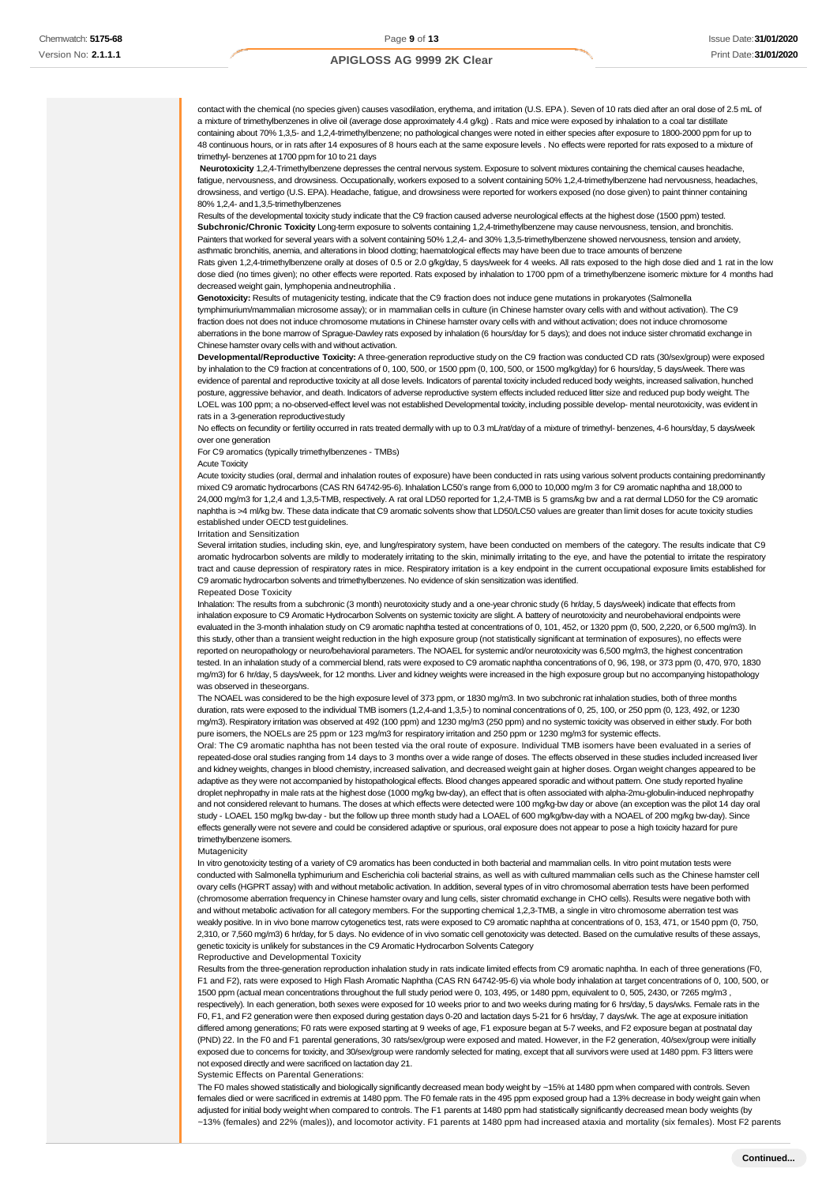contact with the chemical (no species given) causes vasodilation, erythema, and irritation (U.S. EPA ). Seven of 10 rats died after an oral dose of 2.5 mL of a mixture of trimethylbenzenes in olive oil (average dose approximately 4.4 g/kg) . Rats and mice were exposed by inhalation to a coal tar distillate containing about 70% 1,3,5- and 1,2,4-trimethylbenzene; no pathological changes were noted in either species after exposure to 1800-2000 ppm for up to 48 continuous hours, or in rats after 14 exposures of 8 hours each at the same exposure levels . No effects were reported for rats exposed to a mixture of trimethyl- benzenes at 1700 ppm for 10 to 21 days

**Neurotoxicity** 1,2,4-Trimethylbenzene depresses the central nervous system. Exposure to solvent mixtures containing the chemical causes headache, fatigue, nervousness, and drowsiness. Occupationally, workers exposed to a solvent containing 50% 1,2,4-trimethylbenzene had nervousness, headaches, drowsiness, and vertigo (U.S. EPA). Headache, fatigue, and drowsiness were reported for workers exposed (no dose given) to paint thinner containing 80% 1,2,4- and 1,3,5-trimethylbenzenes

Results of the developmental toxicity study indicate that the C9 fraction caused adverse neurological effects at the highest dose (1500 ppm) tested. **Subchronic/Chronic Toxicity** Long-term exposure to solvents containing 1,2,4-trimethylbenzene may cause nervousness, tension, and bronchitis. Painters that worked for several years with a solvent containing 50% 1,2,4- and 30% 1,3,5-trimethylbenzene showed nervousness, tension and anxiety, asthmatic bronchitis, anemia, and alterations in blood clotting; haematological effects may have been due to trace amounts of benzene

Rats given 1,2,4-trimethylbenzene orally at doses of 0.5 or 2.0 g/kg/day, 5 days/week for 4 weeks. All rats exposed to the high dose died and 1 rat in the low dose died (no times given); no other effects were reported. Rats exposed by inhalation to 1700 ppm of a trimethylbenzene isomeric mixture for 4 months had decreased weight gain, lymphopenia andneutrophilia .

**Genotoxicity:** Results of mutagenicity testing, indicate that the C9 fraction does not induce gene mutations in prokaryotes (Salmonella tymphimurium/mammalian microsome assay); or in mammalian cells in culture (in Chinese hamster ovary cells with and without activation). The C9 fraction does not does not induce chromosome mutations in Chinese hamster ovary cells with and without activation; does not induce chromosome aberrations in the bone marrow of Sprague-Dawley rats exposed by inhalation (6 hours/day for 5 days); and does not induce sister chromatid exchange in Chinese hamster ovary cells with and without activation.

**Developmental/Reproductive Toxicity:** A three-generation reproductive study on the C9 fraction was conducted CD rats (30/sex/group) were exposed by inhalation to the C9 fraction at concentrations of 0, 100, 500, or 1500 ppm (0, 100, 500, or 1500 mg/kg/day) for 6 hours/day, 5 days/week. There was evidence of parental and reproductive toxicity at all dose levels. Indicators of parental toxicity included reduced body weights, increased salivation, hunched posture, aggressive behavior, and death. Indicators of adverse reproductive system effects included reduced litter size and reduced pup body weight. The LOEL was 100 ppm; a no-observed-effect level was not established Developmental toxicity, including possible develop- mental neurotoxicity, was evident in rats in a 3-generation reproductivestudy

No effects on fecundity or fertility occurred in rats treated dermally with up to 0.3 mL/rat/day of a mixture of trimethyl- benzenes, 4-6 hours/day, 5 days/week over one generation

For C9 aromatics (typically trimethylbenzenes - TMBs)

#### Acute Toxicity

Acute toxicity studies (oral, dermal and inhalation routes of exposure) have been conducted in rats using various solvent products containing predominantly mixed C9 aromatic hydrocarbons (CAS RN 64742-95-6). Inhalation LC50's range from 6,000 to 10,000 mg/m 3 for C9 aromatic naphtha and 18,000 to 24,000 mg/m3 for 1,2,4 and 1,3,5-TMB, respectively. A rat oral LD50 reported for 1,2,4-TMB is 5 grams/kg bw and a rat dermal LD50 for the C9 aromatic naphtha is >4 ml/kg bw. These data indicate that C9 aromatic solvents show that LD50/LC50 values are greater than limit doses for acute toxicity studies established under OECD test guidelines.

Irritation and Sensitization

Several irritation studies, including skin, eye, and lung/respiratory system, have been conducted on members of the category. The results indicate that C9 aromatic hydrocarbon solvents are mildly to moderately irritating to the skin, minimally irritating to the eye, and have the potential to irritate the respiratory tract and cause depression of respiratory rates in mice. Respiratory irritation is a key endpoint in the current occupational exposure limits established for C9 aromatic hydrocarbon solvents and trimethylbenzenes. No evidence of skin sensitization was identified.

#### Repeated Dose Toxicity

Inhalation: The results from a subchronic (3 month) neurotoxicity study and a one-year chronic study (6 hr/day, 5 days/week) indicate that effects from inhalation exposure to C9 Aromatic Hydrocarbon Solvents on systemic toxicity are slight. A battery of neurotoxicity and neurobehavioral endpoints were evaluated in the 3-month inhalation study on C9 aromatic naphtha tested at concentrations of 0, 101, 452, or 1320 ppm (0, 500, 2,220, or 6,500 mg/m3). In this study, other than a transient weight reduction in the high exposure group (not statistically significant at termination of exposures), no effects were reported on neuropathology or neuro/behavioral parameters. The NOAEL for systemic and/or neurotoxicity was 6,500 mg/m3, the highest concentration ted. In an inhalation study of a commercial blend, rats were exposed to C9 aromatic naphtha concentrations of 0, 96, 198, or 373 ppm (0, 470, 970, 1830 mg/m3) for 6 hr/day, 5 days/week, for 12 months. Liver and kidney weights were increased in the high exposure group but no accompanying histopathology was observed in theseorgans.

The NOAEL was considered to be the high exposure level of 373 ppm, or 1830 mg/m3. In two subchronic rat inhalation studies, both of three months duration, rats were exposed to the individual TMB isomers (1,2,4-and 1,3,5-) to nominal concentrations of 0, 25, 100, or 250 ppm (0, 123, 492, or 1230 mg/m3). Respiratory irritation was observed at 492 (100 ppm) and 1230 mg/m3 (250 ppm) and no systemic toxicity was observed in either study. For both pure isomers, the NOELs are 25 ppm or 123 mg/m3 for respiratory irritation and 250 ppm or 1230 mg/m3 for systemic effects.

Oral: The C9 aromatic naphtha has not been tested via the oral route of exposure. Individual TMB isomers have been evaluated in a series of repeated-dose oral studies ranging from 14 days to 3 months over a wide range of doses. The effects observed in these studies included increased liver and kidney weights, changes in blood chemistry, increased salivation, and decreased weight gain at higher doses. Organ weight changes appeared to be adaptive as they were not accompanied by histopathological effects. Blood changes appeared sporadic and without pattern. One study reported hyaline droplet nephropathy in male rats at the highest dose (1000 mg/kg bw-day), an effect that is often associated with alpha-2mu-globulin-induced nephropathy and not considered relevant to humans. The doses at which effects were detected were 100 mg/kg-bw day or above (an exception was the pilot 14 day oral study - LOAEL 150 mg/kg bw-day - but the follow up three month study had a LOAEL of 600 mg/kg/bw-day with a NOAEL of 200 mg/kg bw-day). Since effects generally were not severe and could be considered adaptive or spurious, oral exposure does not appear to pose a high toxicity hazard for pure trimethylbenzene isomers.

#### Mutagenicity

In vitro genotoxicity testing of a variety of C9 aromatics has been conducted in both bacterial and mammalian cells. In vitro point mutation tests were conducted with Salmonella typhimurium and Escherichia coli bacterial strains, as well as with cultured mammalian cells such as the Chinese hamster cell ovary cells (HGPRT assay) with and without metabolic activation. In addition, several types of in vitro chromosomal aberration tests have been performed (chromosome aberration frequency in Chinese hamster ovary and lung cells, sister chromatid exchange in CHO cells). Results were negative both with and without metabolic activation for all category members. For the supporting chemical 1,2,3-TMB, a single in vitro chromosome aberration test was weakly positive. In in vivo bone marrow cytogenetics test, rats were exposed to C9 aromatic naphtha at concentrations of 0, 153, 471, or 1540 ppm (0, 750, 2,310, or 7,560 mg/m3) 6 hr/day, for 5 days. No evidence of in vivo somatic cell genotoxicity was detected. Based on the cumulative results of these assays, genetic toxicity is unlikely for substances in the C9 Aromatic Hydrocarbon Solvents Category

#### Reproductive and Developmental Toxicity

Results from the three-generation reproduction inhalation study in rats indicate limited effects from C9 aromatic naphtha. In each of three generations (F0, F1 and F2), rats were exposed to High Flash Aromatic Naphtha (CAS RN 64742-95-6) via whole body inhalation at target concentrations of 0, 100, 500, or 1500 ppm (actual mean concentrations throughout the full study period were 0, 103, 495, or 1480 ppm, equivalent to 0, 505, 2430, or 7265 mg/m3 , respectively). In each generation, both sexes were exposed for 10 weeks prior to and two weeks during mating for 6 hrs/day, 5 days/wks. Female rats in the F0, F1, and F2 generation were then exposed during gestation days 0-20 and lactation days 5-21 for 6 hrs/day, 7 days/wk. The age at exposure initiation differed among generations; F0 rats were exposed starting at 9 weeks of age, F1 exposure began at 5-7 weeks, and F2 exposure began at postnatal day (PND) 22. In the F0 and F1 parental generations, 30 rats/sex/group were exposed and mated. However, in the F2 generation, 40/sex/group were initially exposed due to concerns for toxicity, and 30/sex/group were randomly selected for mating, except that all survivors were used at 1480 ppm. F3 litters were not exposed directly and were sacrificed on lactation day 21.

Systemic Effects on Parental Generations:

The F0 males showed statistically and biologically significantly decreased mean body weight by ~15% at 1480 ppm when compared with controls. Seven females died or were sacrificed in extremis at 1480 ppm. The F0 female rats in the 495 ppm exposed group had a 13% decrease in body weight gain when adjusted for initial body weight when compared to controls. The F1 parents at 1480 ppm had statistically significantly decreased mean body weights (by ~13% (females) and 22% (males)), and locomotor activity. F1 parents at 1480 ppm had increased ataxia and mortality (six females). Most F2 parents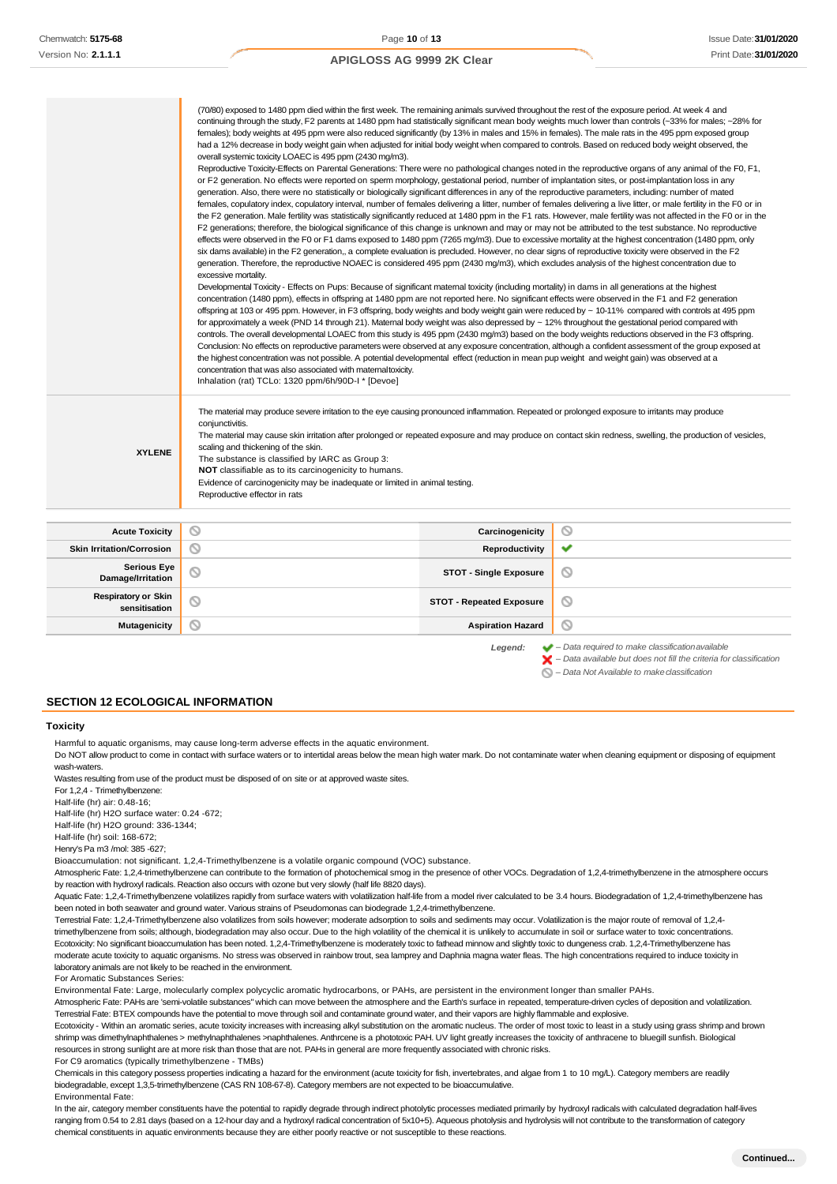|                       | six dams available) in the F2 generation,, a complete evaluation is precluded. However, no clear signs of reproductive toxicity were observed in the F2                                                                                                                                                 |  |  |
|-----------------------|---------------------------------------------------------------------------------------------------------------------------------------------------------------------------------------------------------------------------------------------------------------------------------------------------------|--|--|
|                       | generation. Therefore, the reproductive NOAEC is considered 495 ppm (2430 mg/m3), which excludes analysis of the highest concentration due to                                                                                                                                                           |  |  |
|                       | excessive mortality.<br>Developmental Toxicity - Effects on Pups: Because of significant maternal toxicity (including mortality) in dams in all generations at the highest                                                                                                                              |  |  |
|                       | concentration (1480 ppm), effects in offspring at 1480 ppm are not reported here. No significant effects were observed in the F1 and F2 generation                                                                                                                                                      |  |  |
|                       | offspring at 103 or 495 ppm. However, in F3 offspring, body weights and body weight gain were reduced by ~ 10-11% compared with controls at 495 ppm<br>for approximately a week (PND 14 through 21). Maternal body weight was also depressed by ~ 12% throughout the gestational period compared with   |  |  |
|                       | controls. The overall developmental LOAEC from this study is 495 ppm (2430 mg/m3) based on the body weights reductions observed in the F3 offspring.                                                                                                                                                    |  |  |
|                       | Conclusion: No effects on reproductive parameters were observed at any exposure concentration, although a confident assessment of the group exposed at<br>the highest concentration was not possible. A potential developmental effect (reduction in mean pup weight and weight gain) was observed at a |  |  |
|                       | concentration that was also associated with matemaltoxicity.                                                                                                                                                                                                                                            |  |  |
|                       | Inhalation (rat) TCLo: 1320 ppm/6h/90D-I * [Devoe]                                                                                                                                                                                                                                                      |  |  |
|                       | The material may produce severe irritation to the eye causing pronounced inflammation. Repeated or prolonged exposure to irritants may produce<br>conjunctivitis.                                                                                                                                       |  |  |
|                       | The material may cause skin irritation after prolonged or repeated exposure and may produce on contact skin redness, swelling, the production of vesicles,                                                                                                                                              |  |  |
|                       | scaling and thickening of the skin.<br><b>XYLENE</b>                                                                                                                                                                                                                                                    |  |  |
|                       |                                                                                                                                                                                                                                                                                                         |  |  |
|                       | The substance is classified by IARC as Group 3:<br>NOT classifiable as to its carcinogenicity to humans.                                                                                                                                                                                                |  |  |
|                       | Evidence of carcinogenicity may be inadequate or limited in animal testing.                                                                                                                                                                                                                             |  |  |
|                       | Reproductive effector in rats                                                                                                                                                                                                                                                                           |  |  |
|                       |                                                                                                                                                                                                                                                                                                         |  |  |
| <b>Acute Toxicity</b> | ∾<br>Carcinogenicity<br>∾                                                                                                                                                                                                                                                                               |  |  |

| <b>Skin Irritation/Corrosion</b>            | N      | Reproductivity                  | ◡       |
|---------------------------------------------|--------|---------------------------------|---------|
| Serious Eye /<br>Damage/Irritation          |        | <b>STOT - Single Exposure</b>   | $\circ$ |
| <b>Respiratory or Skin</b><br>sensitisation | Y      | <b>STOT - Repeated Exposure</b> | O       |
| <b>Mutagenicity</b>                         | N<br>ы | <b>Aspiration Hazard</b>        | ∾       |

*Legend: – Data required to make classificationavailable – Data available but does not fill the criteria for classification*

*– Data Not Available to makeclassification*

### **SECTION 12 ECOLOGICAL INFORMATION**

#### **Toxicity**

Harmful to aquatic organisms, may cause long-term adverse effects in the aquatic environment.

Do NOT allow product to come in contact with surface waters or to intertidal areas below the mean high water mark. Do not contaminate water when cleaning equipment or disposing of equipment wash-waters.

Wastes resulting from use of the product must be disposed of on site or at approved waste sites.

For 1,2,4 - Trimethylbenzene:

Half-life (hr) air: 0.48-16;

Half-life (hr) H2O surface water: 0.24 -672;

Half-life (hr) H2O ground: 336-1344;

Half-life (hr) soil: 168-672; Henry's Pa m3 /mol: 385 -627;

Bioaccumulation: not significant. 1,2,4-Trimethylbenzene is a volatile organic compound (VOC) substance.

Atmospheric Fate: 1,2,4-trimethylbenzene can contribute to the formation of photochemical smog in the presence of other VOCs. Degradation of 1,2,4-trimethylbenzene in the atmosphere occurs by reaction with hydroxyl radicals. Reaction also occurs with ozone but very slowly (half life 8820 days).

Aquatic Fate: 1,2,4-Trimethylbenzene volatilizes rapidly from surface waters with volatilization half-life from a model river calculated to be 3.4 hours. Biodegradation of 1,2,4-trimethylbenzene has been noted in both seawater and ground water. Various strains of Pseudomonas can biodegrade 1,2,4-trimethylbenzene.

Terrestrial Fate: 1,2,4-Trimethylbenzene also volatilizes from soils however; moderate adsorption to soils and sediments may occur. Volatilization is the major route of removal of 1,2,4 trimethylbenzene from soils; although, biodegradation may also occur. Due to the high volatility of the chemical it is unlikely to accumulate in soil or surface water to toxic concentrations. Ecotoxicity: No significant bioaccumulation has been noted. 1,2,4-Trimethylbenzene is moderately toxic to fathead minnow and slightly toxic to dungeness crab. 1,2,4-Trimethylbenzene has moderate acute toxicity to aquatic organisms. No stress was observed in rainbow trout, sea lamprey and Daphnia magna water fleas. The high concentrations required to induce toxicity in laboratory animals are not likely to be reached in the environment.

For Aromatic Substances Series:

Environmental Fate: Large, molecularly complex polycyclic aromatic hydrocarbons, or PAHs, are persistent in the environment longer than smaller PAHs. Atmospheric Fate: PAHs are 'semi-volatile substances" which can move between the atmosphere and the Earth's surface in repeated, temperature-driven cycles of deposition and volatilization.

Terrestrial Fate: BTEX compounds have the potential to move through soil and contaminate ground water, and their vapors are highly flammable and explosive.

Ecotoxicity - Within an aromatic series, acute toxicity increases with increasing alkyl substitution on the aromatic nucleus. The order of most toxic to least in a study using grass shrimp and brown shrimp was dimethylnaphthalenes > methylnaphthalenes >naphthalenes. Anthrcene is a phototoxic PAH. UV light greatly increases the toxicity of anthracene to bluegill sunfish. Biological resources in strong sunlight are at more risk than those that are not. PAHs in general are more frequently associated with chronic risks. For C9 aromatics (typically trimethylbenzene - TMBs)

Chemicals in this category possess properties indicating a hazard for the environment (acute toxicity for fish, invertebrates, and algae from 1 to 10 mg/L). Category members are readily biodegradable, except 1,3,5-trimethylbenzene (CAS RN 108-67-8). Category members are not expected to be bioaccumulative. Environmental Fate:

In the air, category member constituents have the potential to rapidly degrade through indirect photolytic processes mediated primarily by hydroxyl radicals with calculated degradation half-lives ranging from 0.54 to 2.81 days (based on a 12-hour day and a hydroxyl radical concentration of 5x10+5). Aqueous photolysis and hydrolysis will not contribute to the transformation of category chemical constituents in aquatic environments because they are either poorly reactive or not susceptible to these reactions.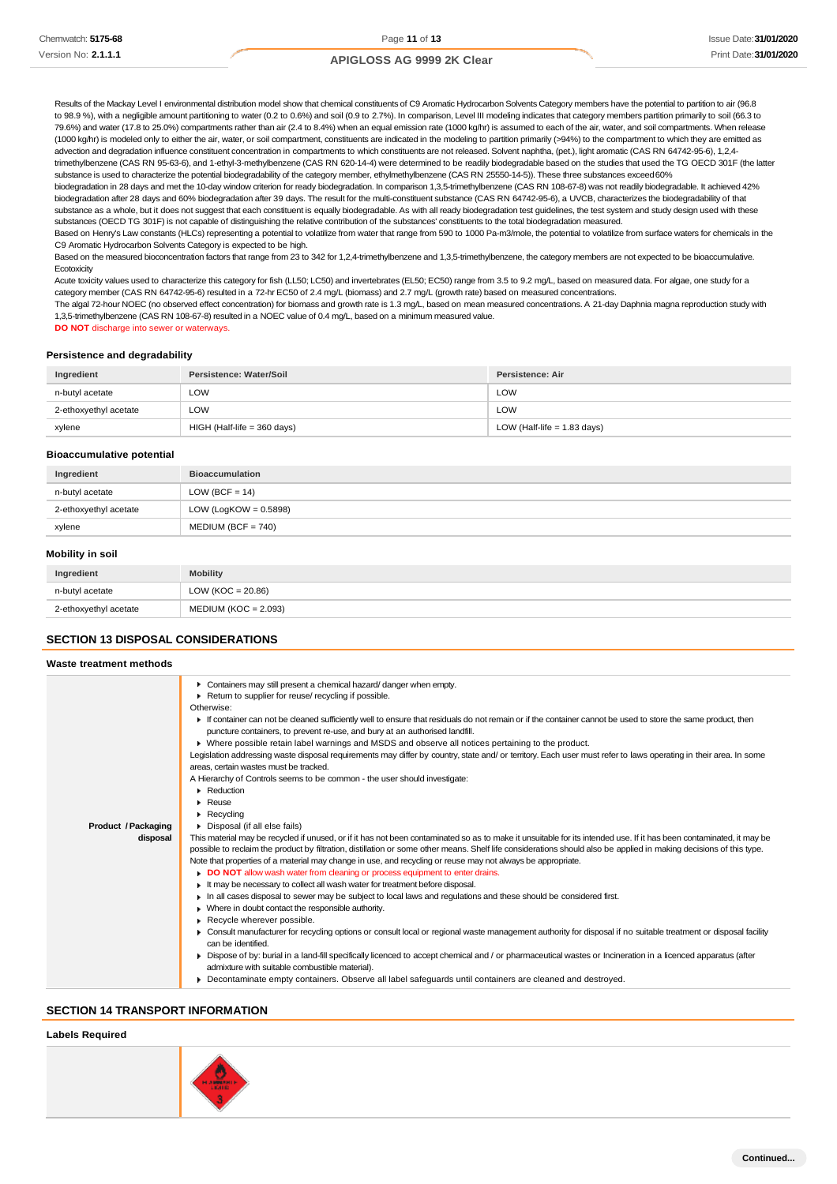Results of the Mackay Level I environmental distribution model show that chemical constituents of C9 Aromatic Hydrocarbon Solvents Category members have the potential to partition to air (96.8 to 98.9 %), with a negligible amount partitioning to water (0.2 to 0.6%) and soil (0.9 to 2.7%). In comparison, Level III modeling indicates that category members partition primarily to soil (66.3 to 79.6%) and water (17.8 to 25.0%) compartments rather than air (2.4 to 8.4%) when an equal emission rate (1000 kg/hr) is assumed to each of the air, water, and soil compartments. When release (1000 kg/hr) is modeled only to either the air, water, or soil compartment, constituents are indicated in the modeling to partition primarily (>94%) to the compartment to which they are emitted as advection and degradation influence constituent concentration in compartments to which constituents are not released. Solvent naphtha, (pet.), light aromatic (CAS RN 64742-95-6), 1,2,4-

trimethylbenzene (CAS RN 95-63-6), and 1-ethyl-3-methylbenzene (CAS RN 620-14-4) were determined to be readily biodegradable based on the studies that used the TG OECD 301F (the latter substance is used to characterize the potential biodegradability of the category member, ethylmethylbenzene (CAS RN 25550-14-5)). These three substances exceed60%

biodegradation in 28 days and met the 10-day window criterion for ready biodegradation. In comparison 1,3,5-trimethylbenzene (CAS RN 108-67-8) was not readily biodegradable. It achieved 42% biodegradation after 28 days and 60% biodegradation after 39 days. The result for the multi-constituent substance (CAS RN 64742-95-6), a UVCB, characterizes the biodegradability of that substance as a whole, but it does not suggest that each constituent is equally biodegradable. As with all ready biodegradation test guidelines, the test system and study design used with these substances (OECD TG 301F) is not capable of distinguishing the relative contribution of the substances' constituents to the total biodegradation measured.

Based on Henry's Law constants (HLCs) representing a potential to volatilize from water that range from 590 to 1000 Pa-m3/mole, the potential to volatilize from surface waters for chemicals in the C9 Aromatic Hydrocarbon Solvents Category is expected to be high.

Based on the measured bioconcentration factors that range from 23 to 342 for 1,2,4-trimethylbenzene and 1,3,5-trimethylbenzene, the category members are not expected to be bioaccumulative. **Ecotoxicity** 

Acute toxicity values used to characterize this category for fish (LL50; LC50) and invertebrates (EL50; EC50) range from 3.5 to 9.2 mg/L, based on measured data. For algae, one study for a category member (CAS RN 64742-95-6) resulted in a 72-hr EC50 of 2.4 mg/L (biomass) and 2.7 mg/L (growth rate) based on measured concentrations.

The algal 72-hour NOEC (no observed effect concentration) for biomass and growth rate is 1.3 mg/L, based on mean measured concentrations. A 21-day Daphnia magna reproduction study with 1,3,5-trimethylbenzene (CAS RN 108-67-8) resulted in a NOEC value of 0.4 mg/L, based on a minimum measured value.

**DO NOT** discharge into sewer or waterways.

#### **Persistence and degradability**

| Ingredient            | Persistence: Water/Soil       | Persistence: Air              |
|-----------------------|-------------------------------|-------------------------------|
| n-butyl acetate       | LOW                           | LOW                           |
| 2-ethoxyethyl acetate | LOW                           | LOW                           |
| xylene                | $HIGH$ (Half-life = 360 days) | LOW (Half-life $= 1.83$ days) |

#### **Bioaccumulative potential**

| Ingredient            | <b>Bioaccumulation</b>   |
|-----------------------|--------------------------|
| n-butyl acetate       | LOW (BCF = $14$ )        |
| 2-ethoxyethyl acetate | LOW (LogKOW = $0.5898$ ) |
| xylene                | $MEDIUM (BCF = 740)$     |

#### **Mobility in soil**

| Ingredient            | <b>Mobility</b>        |
|-----------------------|------------------------|
| n-butyl acetate       | LOW (KOC = $20.86$ )   |
| 2-ethoxyethyl acetate | $MEDIUM (KOC = 2.093)$ |

# **SECTION 13 DISPOSAL CONSIDERATIONS**

| Waste treatment methods    |                                                                                                                                                                                                                                            |
|----------------------------|--------------------------------------------------------------------------------------------------------------------------------------------------------------------------------------------------------------------------------------------|
|                            | Containers may still present a chemical hazard/danger when empty.                                                                                                                                                                          |
|                            | Return to supplier for reuse/ recycling if possible.                                                                                                                                                                                       |
|                            | Otherwise:                                                                                                                                                                                                                                 |
|                            | If container can not be cleaned sufficiently well to ensure that residuals do not remain or if the container cannot be used to store the same product, then<br>puncture containers, to prevent re-use, and bury at an authorised landfill. |
|                            | ▶ Where possible retain label warnings and MSDS and observe all notices pertaining to the product.                                                                                                                                         |
|                            | Legislation addressing waste disposal requirements may differ by country, state and/ or territory. Each user must refer to laws operating in their area. In some<br>areas, certain wastes must be tracked.                                 |
|                            | A Hierarchy of Controls seems to be common - the user should investigate:                                                                                                                                                                  |
|                            | • Reduction                                                                                                                                                                                                                                |
|                            | $\triangleright$ Reuse                                                                                                                                                                                                                     |
|                            | $\blacktriangleright$ Recycling                                                                                                                                                                                                            |
| <b>Product / Packaging</b> | Disposal (if all else fails)                                                                                                                                                                                                               |
| disposal                   | This material may be recycled if unused, or if it has not been contaminated so as to make it unsuitable for its intended use. If it has been contaminated, it may be                                                                       |
|                            | possible to reclaim the product by filtration, distillation or some other means. Shelf life considerations should also be applied in making decisions of this type.                                                                        |
|                            | Note that properties of a material may change in use, and recycling or reuse may not always be appropriate.                                                                                                                                |
|                            | DO NOT allow wash water from cleaning or process equipment to enter drains.                                                                                                                                                                |
|                            | It may be necessary to collect all wash water for treatment before disposal.                                                                                                                                                               |
|                            | In all cases disposal to sewer may be subject to local laws and regulations and these should be considered first.                                                                                                                          |
|                            | • Where in doubt contact the responsible authority.                                                                                                                                                                                        |
|                            | Recycle wherever possible.                                                                                                                                                                                                                 |
|                            | • Consult manufacturer for recycling options or consult local or regional waste management authority for disposal if no suitable treatment or disposal facility<br>can be identified.                                                      |
|                            | ► Dispose of by: burial in a land-fill specifically licenced to accept chemical and / or pharmaceutical wastes or Incineration in a licenced apparatus (after                                                                              |
|                            | admixture with suitable combustible material).                                                                                                                                                                                             |
|                            | • Decontaminate empty containers. Observe all label safequards until containers are cleaned and destroyed.                                                                                                                                 |

# **SECTION 14 TRANSPORT INFORMATION**

# **Labels Required**

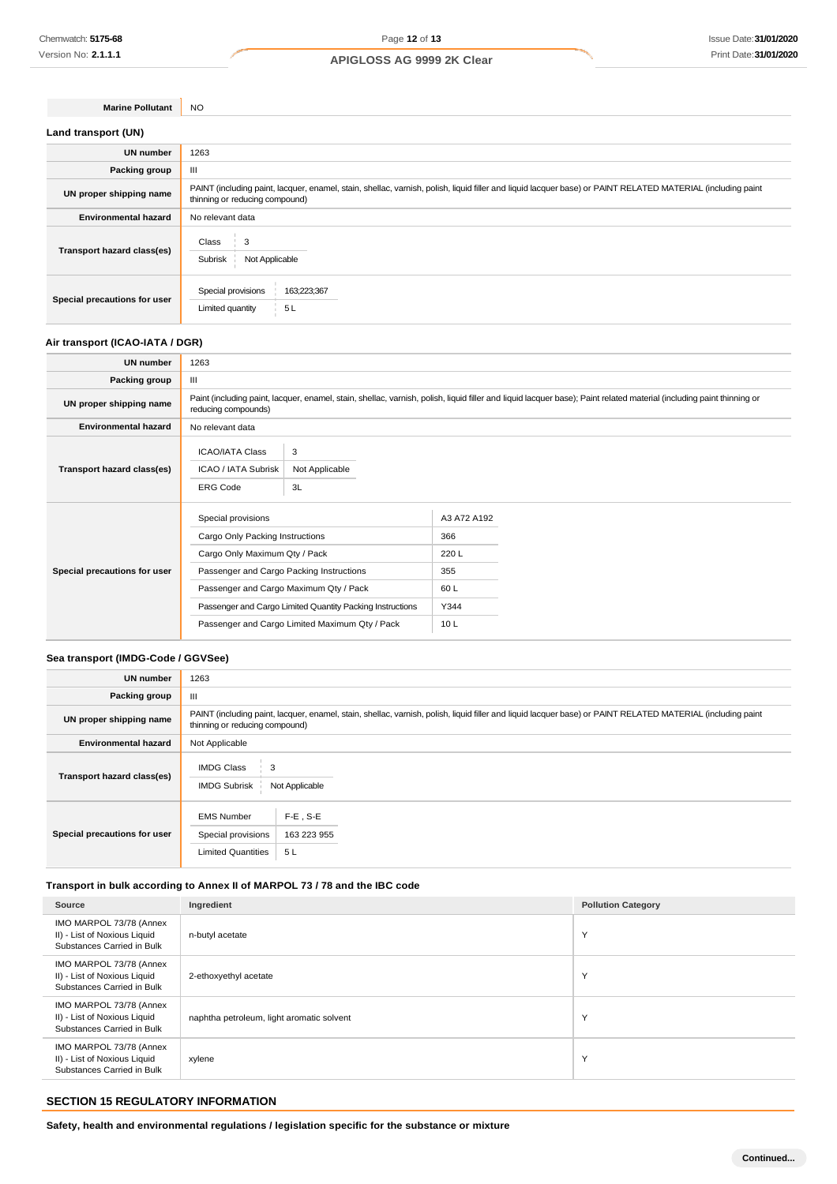**Marine Pollutant** NO

| Land transport (UN)          |                                                                                                                                                                                               |  |
|------------------------------|-----------------------------------------------------------------------------------------------------------------------------------------------------------------------------------------------|--|
| <b>UN number</b>             | 1263                                                                                                                                                                                          |  |
| Packing group                | Ш                                                                                                                                                                                             |  |
| UN proper shipping name      | PAINT (including paint, lacquer, enamel, stain, shellac, varnish, polish, liquid filler and liquid lacquer base) or PAINT RELATED MATERIAL (including paint<br>thinning or reducing compound) |  |
| <b>Environmental hazard</b>  | No relevant data                                                                                                                                                                              |  |
| Transport hazard class(es)   | Class<br>Not Applicable<br>Subrisk                                                                                                                                                            |  |
| Special precautions for user | Special provisions<br>163;223;367<br>Limited quantity<br>5L                                                                                                                                   |  |

# **Air transport (ICAO-IATA / DGR)**

| <b>UN number</b>             | 1263                                                                                                                                                                                         |                                                                                                                                                       |                                                          |
|------------------------------|----------------------------------------------------------------------------------------------------------------------------------------------------------------------------------------------|-------------------------------------------------------------------------------------------------------------------------------------------------------|----------------------------------------------------------|
| Packing group                | Ш                                                                                                                                                                                            |                                                                                                                                                       |                                                          |
| UN proper shipping name      | Paint (including paint, lacquer, enamel, stain, shellac, varnish, polish, liquid filler and liquid lacquer base); Paint related material (including paint thinning or<br>reducing compounds) |                                                                                                                                                       |                                                          |
| <b>Environmental hazard</b>  | No relevant data                                                                                                                                                                             |                                                                                                                                                       |                                                          |
| Transport hazard class(es)   | <b>ICAO/IATA Class</b><br>ICAO / IATA Subrisk<br><b>ERG Code</b>                                                                                                                             | 3<br>Not Applicable<br>3L                                                                                                                             |                                                          |
| Special precautions for user | Special provisions<br>Cargo Only Packing Instructions<br>Cargo Only Maximum Qty / Pack<br>Passenger and Cargo Packing Instructions                                                           | Passenger and Cargo Maximum Qty / Pack<br>Passenger and Cargo Limited Quantity Packing Instructions<br>Passenger and Cargo Limited Maximum Qty / Pack | A3 A72 A192<br>366<br>220L<br>355<br>60 L<br>Y344<br>10L |

# **Sea transport (IMDG-Code / GGVSee)**

| <b>UN number</b>             | 1263                                                                                                                                                                                          |  |  |
|------------------------------|-----------------------------------------------------------------------------------------------------------------------------------------------------------------------------------------------|--|--|
| Packing group                | Ш                                                                                                                                                                                             |  |  |
| UN proper shipping name      | PAINT (including paint, lacquer, enamel, stain, shellac, varnish, polish, liquid filler and liquid lacquer base) or PAINT RELATED MATERIAL (including paint<br>thinning or reducing compound) |  |  |
| <b>Environmental hazard</b>  | Not Applicable                                                                                                                                                                                |  |  |
| Transport hazard class(es)   | <b>IMDG Class</b><br>3<br>Not Applicable<br><b>IMDG Subrisk</b>                                                                                                                               |  |  |
| Special precautions for user | $F-E$ , S-E<br><b>EMS Number</b><br>163 223 955<br>Special provisions<br><b>Limited Quantities</b><br>5L                                                                                      |  |  |

# **Transport in bulk according to Annex II of MARPOL 73 / 78 and the IBC code**

| Source                                                                                | Ingredient                                | <b>Pollution Category</b> |
|---------------------------------------------------------------------------------------|-------------------------------------------|---------------------------|
| IMO MARPOL 73/78 (Annex<br>II) - List of Noxious Liquid<br>Substances Carried in Bulk | n-butyl acetate                           | Y                         |
| IMO MARPOL 73/78 (Annex<br>II) - List of Noxious Liquid<br>Substances Carried in Bulk | 2-ethoxyethyl acetate                     | Υ                         |
| IMO MARPOL 73/78 (Annex<br>II) - List of Noxious Liquid<br>Substances Carried in Bulk | naphtha petroleum, light aromatic solvent | Y                         |
| IMO MARPOL 73/78 (Annex<br>II) - List of Noxious Liquid<br>Substances Carried in Bulk | xylene                                    | Y                         |

# **SECTION 15 REGULATORY INFORMATION**